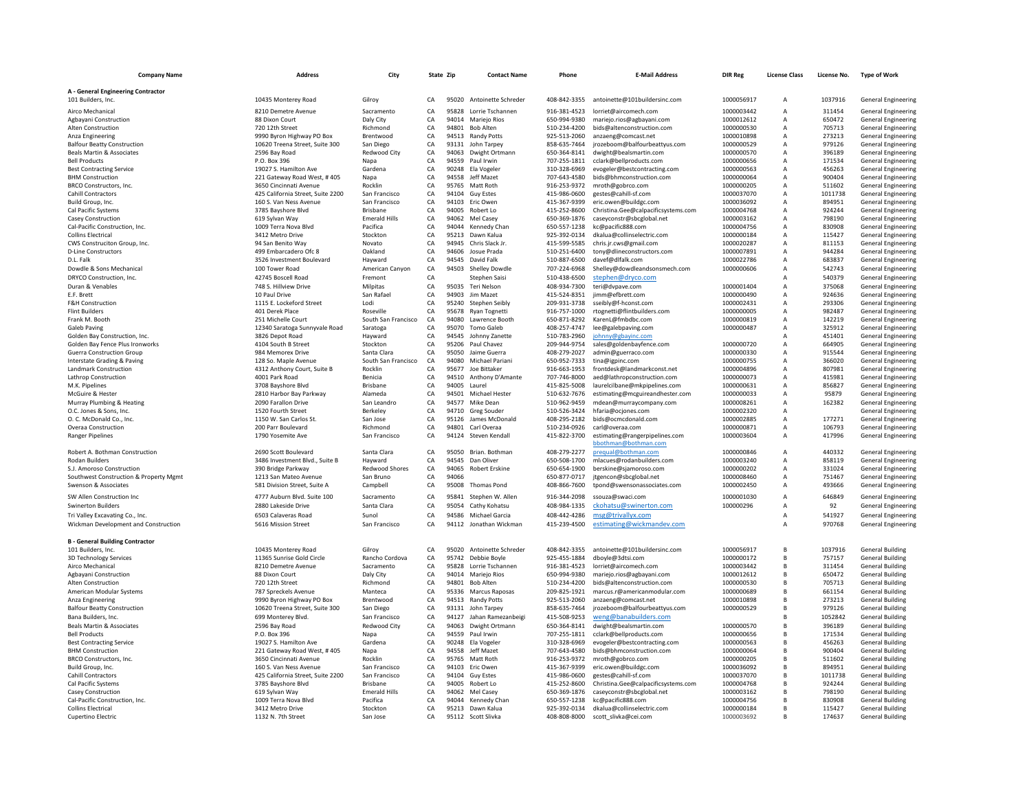| <b>Company Name</b>                                                 | <b>Address</b>                                        | City                             |          | State Zip      | <b>Contact Name</b>                    | Phone                        | <b>E-Mail Address</b>                                            | <b>DIR Reg</b>           | <b>License Class</b>             | License No.      | <b>Type of Work</b>                                      |
|---------------------------------------------------------------------|-------------------------------------------------------|----------------------------------|----------|----------------|----------------------------------------|------------------------------|------------------------------------------------------------------|--------------------------|----------------------------------|------------------|----------------------------------------------------------|
| A - General Engineering Contractor                                  |                                                       |                                  |          |                |                                        |                              |                                                                  |                          |                                  |                  |                                                          |
| 101 Builders, Inc.                                                  | 10435 Monterey Road                                   | Gilroy                           | CA       |                | 95020 Antoinette Schreder              | 408-842-3355                 | antoinette@101buildersinc.com                                    | 1000056917               | $\overline{A}$                   | 1037916          | <b>General Engineering</b>                               |
| Airco Mechanical                                                    | 8210 Demetre Avenue                                   | Sacramento                       | CA       | 95828          | Lorrie Tschannen                       | 916-381-4523                 | lorriet@aircomech.com                                            | 1000003442               | $\overline{A}$                   | 311454           | <b>General Engineering</b>                               |
| Agbayani Construction                                               | 88 Dixon Court                                        | Daly City                        | CA       |                | 94014 Marieio Rios                     | 650-994-9380                 | mariejo.rios@agbayani.com                                        | 1000012612               | $\overline{A}$                   | 650472           | <b>General Engineering</b>                               |
| Alten Construction                                                  | 720 12th Street                                       | Richmond                         | CA       |                | 94801 Bob Alten                        | 510-234-4200                 | bids@altenconstruction.com                                       | 1000000530               | $\mathsf A$                      | 705713           | <b>General Engineering</b>                               |
| Anza Engineering                                                    | 9990 Byron Highway PO Box                             | Brentwood                        | CA       | 94513          | <b>Randy Potts</b>                     | 925-513-2060                 | anzaeng@comcast.net                                              | 1000010898               | $\overline{A}$                   | 273213           | <b>General Engineering</b>                               |
| <b>Balfour Beatty Construction</b><br>Beals Martin & Associates     | 10620 Treena Street, Suite 300<br>2596 Bay Road       | San Diego<br><b>Redwood City</b> | CA<br>CA | 93131<br>94063 | John Tarpey<br>Dwight Ortmann          | 858-635-7464<br>650-364-8141 | jrozeboom@balfourbeattyus.com<br>dwight@bealsmartin.com          | 1000000529<br>1000000570 | A<br>A                           | 979126<br>396189 | General Engineering<br><b>General Engineering</b>        |
| <b>Bell Products</b>                                                | P.O. Box 396                                          | Napa                             | CA       | 94559          | Paul Irwin                             | 707-255-1811                 | cclark@bellproducts.com                                          | 1000000656               | $\overline{A}$                   | 171534           | <b>General Engineering</b>                               |
| <b>Best Contracting Service</b>                                     | 19027 S. Hamilton Ave                                 | Gardena                          | CA       |                | 90248 Ela Vogeler                      | 310-328-6969                 | evogeler@bestcontracting.com                                     | 1000000563               | $\overline{A}$                   | 456263           | <b>General Engineering</b>                               |
| <b>BHM Construction</b>                                             | 221 Gateway Road West, #405                           | Napa                             | CA       | 94558          | Jeff Mazet                             | 707-643-4580                 | bids@bhmconstruction.com                                         | 1000000064               | $\overline{A}$                   | 900404           | <b>General Engineering</b>                               |
| BRCO Constructors, Inc.                                             | 3650 Cincinnati Avenue                                | Rocklin                          | CA       | 95765          | Matt Roth                              | 916-253-9372                 | mroth@gobrco.com                                                 | 1000000205               | $\overline{A}$                   | 511602           | <b>General Engineering</b>                               |
| Cahill Contractors                                                  | 425 California Street, Suite 2200                     | San Francisco                    | CA       |                | 94104 Guy Estes                        | 415-986-0600                 | gestes@cahill-sf.com                                             | 1000037070               | A                                | 1011738          | <b>General Engineering</b>                               |
| Build Group, Inc.                                                   | 160 S. Van Ness Avenue                                | San Francisco<br><b>Brishane</b> | CA<br>CA | 94103<br>94005 | Eric Owen                              | 415-367-9399                 | eric.owen@buildgc.com                                            | 1000036092<br>1000004768 | $\overline{A}$                   | 894951<br>924244 | <b>General Engineering</b>                               |
| <b>Cal Pacific Systems</b><br><b>Casev Construction</b>             | 3785 Bayshore Blyd<br>619 Sylvan Way                  | <b>Emerald Hills</b>             | CA       | 94062          | Robert Lo<br>Mel Casey                 | 415-252-8600<br>650-369-1876 | Christina.Gee@calpacificsystems.com<br>caseyconstr@sbcglobal.net | 1000003162               | $\overline{A}$<br>$\overline{A}$ | 798190           | <b>General Engineering</b><br><b>General Engineering</b> |
| Cal-Pacific Construction, Inc.                                      | 1009 Terra Nova Blvd                                  | Pacifica                         | CA       | 94044          | Kennedy Chan                           | 650-557-1238                 | kc@pacific888.com                                                | 1000004756               | $\mathsf A$                      | 830908           | <b>General Engineering</b>                               |
| <b>Collins Electrical</b>                                           | 3412 Metro Drive                                      | Stockton                         | CA       | 95213          | Dawn Kalua                             | 925-392-0134                 | dkalua@collinselectric.com                                       | 1000000184               | А                                | 115427           | <b>General Engineering</b>                               |
| CWS Construciton Group, Inc.                                        | 94 San Benito Way                                     | Novato                           | CA       | 94945          | Chris Slack Jr.                        | 415-599-5585                 | chris.jr.cws@gmail.com                                           | 1000020287               | $\overline{A}$                   | 811153           | <b>General Engineering</b>                               |
| <b>D-Line Constructors</b>                                          | 499 Embarcadero Ofc 8                                 | Oakland                          | CA       | 94606          | Josue Prada                            | 510-251-6400                 | tony@dlineconstructors.com                                       | 1000007891               | Α                                | 944284           | <b>General Engineering</b>                               |
| D.I. Falk                                                           | 3526 Investment Boulevard                             | Havward                          | CA       | 94545          | David Falk                             | 510-887-6500                 | davef@dlfalk.com                                                 | 1000022786               | А                                | 683837           | <b>General Engineering</b>                               |
| Dowdle & Sons Mechanical                                            | 100 Tower Road                                        | American Canyon                  | CA       | 94503          | Shelley Dowdle                         | 707-224-6968                 | Shelley@dowdleandsonsmech.com                                    | 1000000606               | $\overline{A}$                   | 542743           | <b>General Engineering</b>                               |
| DRYCO Construction, Inc.                                            | 42745 Boscell Road                                    | Fremont                          | CA       |                | Stephen Saisi                          | 510-438-6500                 | stephen@dryco.com                                                |                          | A                                | 540379           | <b>General Engineering</b>                               |
| Duran & Venables                                                    | 748 S. Hillview Drive                                 | Milpitas                         | CA       | 95035          | <b>Teri Nelson</b>                     | 408-934-7300                 | teri@dvpave.com                                                  | 1000001404               | Α                                | 375068           | <b>General Engineering</b>                               |
| F.F. Brett                                                          | 10 Paul Drive                                         | San Rafael                       | CA       | 94903          | <b>Jim Mazet</b>                       | 415-524-8351                 | jimm@efbrett.com                                                 | 1000000490               | A                                | 924636           | General Engineering                                      |
| F&H Construction<br><b>Flint Builders</b>                           | 1115 E. Lockeford Street<br>401 Derek Place           | Lodi<br>Roseville                | CA<br>CA | 95678          | 95240 Stephen Seibly<br>Ryan Tognetti  | 209-931-3738<br>916-757-1000 | sseibly@f-hconst.com<br>rtognetti@flintbuilders.com              | 1000002431<br>1000000005 | A<br>A                           | 293306<br>982487 | <b>General Engineering</b><br><b>General Engineering</b> |
| Frank M. Booth                                                      | 251 Michelle Court                                    | South San Francisco              | CA       | 94080          | Lawrence Booth                         | 650-871-8292                 | KarenL@fmbdbc.com                                                | 1000000819               | A                                | 142219           | <b>General Engineering</b>                               |
| Galeb Paving                                                        | 12340 Saratoga Sunnyvale Road                         | Saratoga                         | CA       | 95070          | Tomo Galeb                             | 408-257-4747                 | lee@galebpaving.com                                              | 1000000487               | $\overline{A}$                   | 325912           | <b>General Engineering</b>                               |
| Golden Bay Construction, Inc.                                       | 3826 Depot Road                                       | Hayward                          | CA       |                | 94545 Johnny Zanette                   | 510-783-2960                 | johnny@gbayinc.com                                               |                          |                                  | 451401           | <b>General Engineering</b>                               |
| Golden Bay Fence Plus Ironworks                                     | 4104 South B Street                                   | Stockton                         | CA       |                | 95206 Paul Chavez                      | 209-944-9754                 | sales@goldenbayfence.com                                         | 1000000720               | $\overline{A}$                   | 664905           | <b>General Engineering</b>                               |
| <b>Guerra Construction Group</b>                                    | 984 Memorex Drive                                     | Santa Clara                      | CA       |                | 95050 Jaime Guerra                     | 408-279-2027                 | admin@guerraco.com                                               | 1000000330               | $\overline{A}$                   | 915544           | <b>General Engineering</b>                               |
| Interstate Grading & Paving                                         | 128 So. Maple Avenue                                  | South San Francisco              | CA       |                | 94080 Michael Pariani                  | 650-952-7333                 | tina@igpinc.com                                                  | 1000000755               | A                                | 366020           | <b>General Engineering</b>                               |
| Landmark Construction                                               | 4312 Anthony Court, Suite B                           | Rocklin                          | CA       | 95677          | Joe Bittaker                           | 916-663-1953                 | frontdesk@landmarkconst.net                                      | 1000004896               | A                                | 807981           | General Engineering                                      |
| Lathrop Construction<br>M.K. Pinelines                              | 4001 Park Road<br>3708 Bayshore Blyd                  | Benicia<br>Brisbane              | CA<br>CA |                | 94510 Anthony D'Amante<br>94005 Laurel | 707-746-8000<br>415-825-5008 | aed@lathropconstruction.com<br>laurelcilbane@mkpipelines.com     | 1000000073<br>1000000631 | A<br>$\overline{A}$              | 415981<br>856827 | General Engineering<br>General Engineering               |
| McGuire & Hester                                                    | 2810 Harbor Bay Parkway                               | Alameda                          | CA       |                | 94501 Michael Hester                   | 510-632-7676                 | estimating@mcguireandhester.com                                  | 1000000033               | $\overline{A}$                   | 95879            | <b>General Engineering</b>                               |
| Murray Plumbing & Heating                                           | 2090 Farallon Drive                                   | San Leandro                      | CA       |                | 94577 Mike Dean                        | 510-962-9459                 | mdean@murraycompany.com                                          | 1000008261               | A                                | 162382           | <b>General Engineering</b>                               |
| O.C. Jones & Sons, Inc.                                             | 1520 Fourth Street                                    | Berkeley                         | CA       |                | 94710 Greg Souder                      | 510-526-3424                 | hfaria@ocjones.com                                               | 1000002320               | $\overline{A}$                   |                  | <b>General Engineering</b>                               |
| O. C. McDonald Co., Inc.                                            | 1150 W. San Carlos St.                                | San Jose                         | CA       |                | 95126 James McDonald                   | 408-295-2182                 | bids@ocmcdonald.com                                              | 1000002885               | $\overline{A}$                   | 177271           | <b>General Engineering</b>                               |
| Overaa Construction                                                 | 200 Parr Boulevard                                    | Richmond                         | CA       |                | 94801 Carl Overaa                      | 510-234-0926                 | carl@overaa.com                                                  | 1000000871               | $\overline{A}$                   | 106793           | General Engineering                                      |
| <b>Ranger Pipelines</b>                                             | 1790 Yosemite Ave                                     | San Francisco                    | CA       |                | 94124 Steven Kendall                   | 415-822-3700                 | estimating@rangerpipelines.com<br>bbothman@bothman.com           | 1000003604               | $\overline{A}$                   | 417996           | <b>General Engineering</b>                               |
| Robert A. Bothman Construction                                      | 2690 Scott Boulevard                                  | Santa Clara                      | CA       | 95050          | Brian. Bothman                         | 408-279-2277                 | prequal@bothman.com                                              | 1000000846               | $\mathsf A$                      | 440332           | <b>General Engineering</b>                               |
| Rodan Builders                                                      | 3486 Investment Blvd., Suite B                        | Hayward                          | CA       | 94545<br>94065 | Dan Oliver<br><b>Robert Erskine</b>    | 650-508-1700<br>650-654-1900 | mlacues@rodanbuilders.com                                        | 1000003240<br>1000000202 | Α                                | 858119<br>331024 | <b>General Engineering</b>                               |
| S.J. Amoroso Construction<br>Southwest Construction & Property Mgmt | 390 Bridge Parkway<br>1213 San Mateo Avenue           | Redwood Shores<br>San Brung      | CA<br>CA | 94066          |                                        | 650-877-0717                 | berskine@sjamoroso.com<br>itgencon@sbcglobal.net                 | 1000008460               | А<br>A                           | 751467           | <b>General Engineering</b><br>General Engineering        |
| Swenson & Associates                                                | 581 Division Street, Suite A                          | Campbell                         | CA       | 95008          | Thomas Pond                            | 408-866-7600                 | tpond@swensonassociates.com                                      | 1000002450               | A                                | 493666           | <b>General Engineering</b>                               |
| SW Allen Construction Inc                                           | 4777 Auburn Blvd. Suite 100                           | Sacramento                       | CA       |                | 95841 Stephen W. Allen                 | 916-344-2098                 | ssouza@swaci.com                                                 | 1000001030               | A                                | 646849           | <b>General Engineering</b>                               |
| <b>Swinerton Builders</b>                                           | 2880 Lakeside Drive                                   | Santa Clara                      | CA       |                | 95054 Cathy Kohatsu                    | 408-984-1335                 | ckohatsu@swinerton.com                                           | 100000296                | A                                | 92               | General Engineering                                      |
| Tri Valley Excavating Co., Inc.                                     | 6503 Calaveras Road                                   | Sunol                            | CA       |                | 94586 Michael Garcia                   | 408-442-4286                 | msg@trivallyx.com                                                |                          | $\overline{A}$                   | 541927           | <b>General Engineering</b>                               |
| Wickman Development and Construction                                | 5616 Mission Street                                   | San Francisco                    | CA       |                | 94112 Jonathan Wickman                 | 415-239-4500                 | estimating@wickmandev.com                                        |                          | $\mathsf{A}$                     | 970768           | <b>General Engineering</b>                               |
|                                                                     |                                                       |                                  |          |                |                                        |                              |                                                                  |                          |                                  |                  |                                                          |
| <b>B</b> - General Building Contractor                              |                                                       |                                  |          |                |                                        |                              |                                                                  |                          |                                  |                  |                                                          |
| 101 Builders, Inc.                                                  | 10435 Monterey Road                                   | Gilrov                           | CA       |                | 95020 Antoinette Schreder              | 408-842-3355                 | antoinette@101buildersinc.com                                    | 1000056917               | $\overline{B}$                   | 1037916          | <b>General Building</b>                                  |
| <b>3D Technology Services</b>                                       | 11365 Sunrise Gold Circle                             | Rancho Cordova                   | CA       |                | 95742 Debbie Boyle                     | 925-455-1884                 | dboyle@3dtsi.com                                                 | 1000000172               | B                                | 757157           | <b>General Building</b>                                  |
| Airco Mechanical<br>Agbayani Construction                           | 8210 Demetre Avenue<br>88 Dixon Court                 | Sacramento<br>Daly City          | CA<br>CA | 95828          | Lorrie Tschannen<br>94014 Mariejo Rios | 916-381-4523<br>650-994-9380 | lorriet@aircomech.com<br>mariejo.rios@agbayani.com               | 1000003442<br>1000012612 | B<br>B                           | 311454<br>650472 | <b>General Building</b><br><b>General Building</b>       |
| <b>Alten Construction</b>                                           | 720 12th Street                                       | Richmond                         | CA       |                | 94801 Bob Alten                        | 510-234-4200                 | bids@altenconstruction.com                                       | 1000000530               | B                                | 705713           | General Building                                         |
| American Modular Systems                                            | 787 Spreckels Avenue                                  | Manteca                          | CA       | 95336          | Marcus Raposas                         | 209-825-1921                 | marcus.r@americanmodular.com                                     | 1000000689               | B <sub>1</sub>                   | 661154           | <b>General Building</b>                                  |
| Anza Engineering                                                    | 9990 Byron Highway PO Box                             | Brentwood                        | CA       | 94513          | <b>Randy Potts</b>                     | 925-513-2060                 | anzaeng@comcast.net                                              | 1000010898               | B                                | 273213           | <b>General Building</b>                                  |
| <b>Balfour Beatty Construction</b>                                  | 10620 Treena Street, Suite 300                        | San Diego                        | CA       | 93131          | John Tarpey                            | 858-635-7464                 | jrozeboom@balfourbeattyus.com                                    | 1000000529               | B                                | 979126           | General Building                                         |
| Bana Builders, Inc.                                                 | 699 Monterey Blvd.                                    | San Francisco                    | CA       |                | 94127 Jahan Ramezanbeigi               | 415-508-9253                 | weng@banabuilders.com                                            |                          | B <sub>1</sub>                   | 1052842          | <b>General Building</b>                                  |
| Beals Martin & Associates                                           | 2596 Bay Road                                         | <b>Redwood City</b>              | CA       | 94063          | Dwight Ortmann                         | 650-364-8141                 | dwight@bealsmartin.com                                           | 1000000570               | B <sub>1</sub>                   | 396189           | <b>General Building</b>                                  |
| <b>Bell Products</b>                                                | P.O. Box 396                                          | Napa                             | CA       | 94559          | Paul Irwin                             | 707-255-1811                 | cclark@bellproducts.com                                          | 1000000656               | $\overline{B}$                   | 171534           | <b>General Building</b>                                  |
| <b>Best Contracting Service</b>                                     | 19027 S. Hamilton Ave                                 | Gardena                          | CA       | 90248          | Ela Vogeler                            | 310-328-6969                 | evogeler@bestcontracting.com                                     | 1000000563               | B                                | 456263           | General Building                                         |
| <b>BHM Construction</b><br>BRCO Constructors, Inc.                  | 221 Gateway Road West, #405<br>3650 Cincinnati Avenue | Napa<br>Rocklin                  | CA<br>CA | 94558<br>95765 | Jeff Mazet<br>Matt Roth                | 707-643-4580<br>916-253-9372 | bids@bhmconstruction.com<br>mroth@gobrco.com                     | 1000000064<br>1000000205 | B<br>B                           | 900404<br>511602 | <b>General Building</b><br><b>General Building</b>       |
| Build Group, Inc.                                                   | 160 S. Van Ness Avenue                                | San Francisco                    | CA       | 94103          | Fric Owen                              | 415-367-9399                 | eric.owen@buildgc.com                                            | 1000036092               | B                                | 894951           | <b>General Building</b>                                  |
| <b>Cahill Contractors</b>                                           | 425 California Street, Suite 2200                     | San Francisco                    | CA       | 94104          | <b>Guy Estes</b>                       | 415-986-0600                 | gestes@cahill-sf.com                                             | 1000037070               | B                                | 1011738          | <b>General Building</b>                                  |
| Cal Pacific Systems                                                 | 3785 Bayshore Blvd                                    | Brisbane                         | CA       | 94005          | Robert Lo                              | 415-252-8600                 | Christina.Gee@calpacificsystems.com                              | 1000004768               | B                                | 924244           | <b>General Building</b>                                  |
| Casey Construction                                                  | 619 Sylvan Way                                        | <b>Emerald Hills</b>             | CA       | 94062          | Mel Casey                              | 650-369-1876                 | caseyconstr@sbcglobal.net                                        | 1000003162               | B                                | 798190           | <b>General Building</b>                                  |
| Cal-Pacific Construction, Inc.                                      | 1009 Terra Nova Blvd                                  | Pacifica                         | CA       | 94044          | Kennedy Chan                           | 650-557-1238                 | kc@pacific888.com                                                | 1000004756               | $\,$ B                           | 830908           | <b>General Building</b>                                  |
| <b>Collins Electrical</b>                                           | 3412 Metro Drive                                      | Stockton                         | CA       |                | 95213 Dawn Kalua                       | 925-392-0134                 | dkalua@collinselectric.com                                       | 1000000184               | $\mathsf{R}$                     | 115427           | <b>General Building</b>                                  |
| Cupertino Electric                                                  | 1132 N. 7th Street                                    | San Jose                         | CA       |                | 95112 Scott Slivka                     | 408-808-8000                 | scott_slivka@cei.com                                             | 1000003692               | $\mathsf{R}$                     | 174637           | <b>General Building</b>                                  |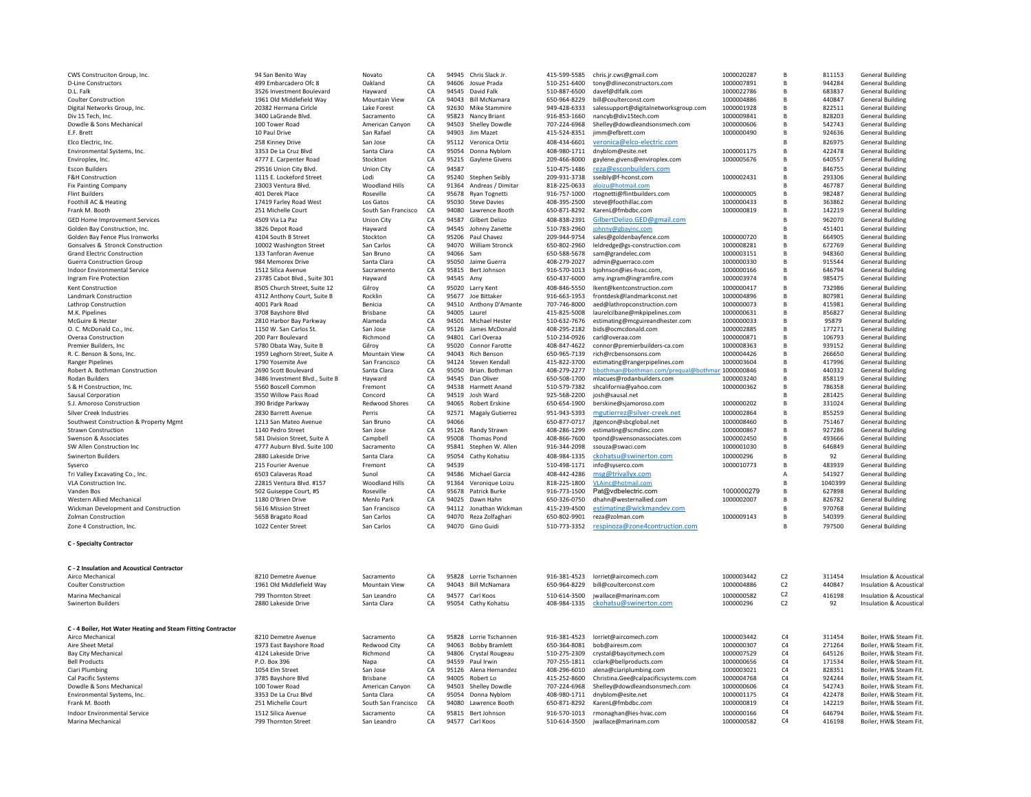| CWS Construciton Group, Inc.                                                     | 94 San Benito Way                                      | Novato                           | CA            |                | 94945 Chris Slack Jr.                        | 415-599-5585                 | chris.jr.cws@gmail.com                                                       | 1000020287               | B                                | 811153           | <b>General Building</b>                            |
|----------------------------------------------------------------------------------|--------------------------------------------------------|----------------------------------|---------------|----------------|----------------------------------------------|------------------------------|------------------------------------------------------------------------------|--------------------------|----------------------------------|------------------|----------------------------------------------------|
| <b>D-Line Constructors</b>                                                       | 499 Embarcadero Ofc 8                                  | Oakland                          | CA            |                | 94606 Josue Prada                            | 510-251-6400                 | tony@dlineconstructors.com                                                   | 1000007891               | B                                | 944284           | <b>General Building</b>                            |
| D.L. Falk                                                                        | 3526 Investment Boulevard                              | Hayward                          | CA            |                | 94545 David Falk                             | 510-887-6500                 | davef@dlfalk.com                                                             | 1000022786               | B                                | 683837           | <b>General Building</b>                            |
| Coulter Construction                                                             | 1961 Old Middlefield Way                               | Mountain View                    | CA            | 94043          | <b>Bill McNamara</b>                         | 650-964-8229                 | bill@coulterconst.com                                                        | 1000004886               | B <sub>1</sub>                   | 440847           | <b>General Building</b>                            |
| Digital Networks Group, Inc.<br>Div 15 Tech. Inc.                                | 20382 Hermana Cirlcle<br>3400 LaGrande Blvd.           | Lake Forest<br>Sacramento        | CA<br>CA      | 92630<br>95823 | Mike Stammire<br>Nancy Briant                | 949-428-6333<br>916-853-1660 | salessupport@digitalnetworksgroup.com<br>nancyb@div15tech.com                | 1000001928<br>1000009841 | B <sub>1</sub><br>B              | 822511<br>828203 | <b>General Building</b><br><b>General Building</b> |
| Dowdle & Sons Mechanical                                                         | 100 Tower Road                                         | American Canvon                  | CA            | 94503          | Shelley Dowdle                               | 707-224-6968                 | Shelley@dowdleandsonsmech.com                                                | 1000000606               | B                                | 542743           | <b>General Building</b>                            |
| F.F. Brett                                                                       | 10 Paul Drive                                          | San Rafael                       | CA            | 94903          | <b>Jim Mazet</b>                             | 415-524-8351                 | jimm@efbrett.com                                                             | 1000000490               | B <sub>1</sub>                   | 924636           | <b>General Building</b>                            |
| Elco Electric, Inc.                                                              | 258 Kinney Drive                                       | San Jose                         | CA            |                | 95112 Veronica Ortiz                         | 408-434-6601                 | veronica@elco-electric.com                                                   |                          | B                                | 826975           | <b>General Building</b>                            |
| Environmental Systems, Inc.                                                      | 3353 De La Cruz Blvd                                   | Santa Clara                      | CA            | 95054          | Donna Nyblom                                 | 408-980-1711                 | dnyblom@esite.net                                                            | 1000001175               | B                                | 422478           | <b>General Building</b>                            |
| Enviroplex, Inc.                                                                 | 4777 E. Carpenter Road                                 | Stockton                         | CA            | 95215          | Gaylene Givens                               | 209-466-8000                 | gaylene.givens@enviroplex.com                                                | 1000005676               | B <sub>1</sub>                   | 640557           | <b>General Building</b>                            |
| <b>Escon Builders</b>                                                            | 29516 Union City Blvd.                                 | <b>Union City</b>                | CA            | 94587          |                                              | 510-475-1486                 | reza@esconbuilders.com                                                       |                          | B                                | 846755           | <b>General Building</b>                            |
| F&H Construction                                                                 | 1115 E. Lockeford Street                               | Lodi                             | CA            |                | 95240 Stephen Seibly                         | 209-931-3738                 | sseibly@f-hconst.com                                                         | 1000002431               | B                                | 293306           | <b>General Building</b>                            |
| <b>Fix Painting Company</b>                                                      | 23003 Ventura Blvd.                                    | Woodland Hills                   | CA            | 91364          | Andreas / Dimitar                            | 818-225-0633                 | aloizu@hotmail.com                                                           |                          | B                                | 467787           | General Building                                   |
| <b>Flint Builders</b>                                                            | 401 Derek Place                                        | Roseville                        | CA            |                | 95678 Ryan Tognetti                          | 916-757-1000                 | rtognetti@flintbuilders.com                                                  | 1000000005               | B                                | 982487           | <b>General Building</b>                            |
| Foothill AC & Heating<br>Frank M. Booth                                          | 17419 Farley Road West<br>251 Michelle Court           | Los Gatos<br>South San Francisco | CA<br>CA      | 95030<br>94080 | <b>Steve Davies</b><br>Lawrence Booth        | 408-395-2500<br>650-871-8292 | steve@foothillac.com<br>KarenL@fmbdbc.com                                    | 1000000433<br>1000000819 | B<br>B                           | 363862<br>142219 | <b>General Building</b><br>General Building        |
| GED Home Improvement Services                                                    | 4509 Via La Paz                                        | Union City                       | CA            | 94587          | Gilbert Delizo                               | 408-838-2391                 | GilbertDelizo.GED@gmail.com                                                  |                          | B                                | 962070           | <b>General Building</b>                            |
| Golden Bay Construction, Inc.                                                    | 3826 Depot Road                                        | Hayward                          | CA            |                | 94545 Johnny Zanette                         | 510-783-2960                 | johnny@gbayinc.com                                                           |                          | B                                | 451401           | <b>General Building</b>                            |
| Golden Bay Fence Plus Ironworks                                                  | 4104 South B Street                                    | Stockton                         | CA            | 95206          | Paul Chavez                                  | 209-944-9754                 | sales@goldenbayfence.com                                                     | 1000000720               | B                                | 664905           | <b>General Building</b>                            |
| Gonsalves & Stronck Construction                                                 | 10002 Washington Street                                | San Carlos                       | CA            | 94070          | <b>William Stronck</b>                       | 650-802-2960                 | leldredge@gs-construction.com                                                | 1000008281               | $\overline{B}$                   | 672769           | General Building                                   |
| <b>Grand Electric Construction</b>                                               | 133 Tanforan Avenue                                    | San Bruno                        | CA            | 94066          | Sam                                          | 650-588-5678                 | sam@grandelec.com                                                            | 1000003151               | B                                | 948360           | General Building                                   |
| Guerra Construction Group                                                        | 984 Memorex Drive                                      | Santa Clara                      | CA            | 95050          | Jaime Guerra                                 | 408-279-2027                 | admin@guerraco.com                                                           | 1000000330               | B                                | 915544           | <b>General Building</b>                            |
| <b>Indoor Environmental Service</b>                                              | 1512 Silica Avenue                                     | Sacramento                       | CA            | 95815          | Bert Johnson                                 | 916-570-1013                 | bjohnson@ies-hvac.com,                                                       | 1000000166               | В                                | 646794           | General Building                                   |
| Ingram Fire Protection                                                           | 23785 Cabot Blvd., Suite 301                           | Hayward                          | CA            | 94545 Amy      |                                              | 650-437-6000                 | amy.ingram@ingramfire.com                                                    | 1000003974               | В                                | 985475           | <b>General Building</b>                            |
| <b>Kent Construction</b>                                                         | 8505 Church Street, Suite 12                           | Gilroy                           | CA            | 95020          | Larry Kent                                   | 408-846-5550                 | lkent@kentconstruction.com                                                   | 1000000417               | B                                | 732986           | <b>General Building</b>                            |
| <b>Landmark Construction</b><br>Lathrop Construction                             | 4312 Anthony Court, Suite B<br>4001 Park Road          | Rocklin<br>Benicia               | CA<br>CA      |                | 95677 Joe Bittaker<br>94510 Anthony D'Amante | 916-663-1953<br>707-746-8000 | frontdesk@landmarkconst.net<br>aed@lathropconstruction.com                   | 1000004896<br>1000000073 | B<br>B                           | 807981<br>415981 | General Building<br><b>General Building</b>        |
| M.K. Pipelines                                                                   | 3708 Bayshore Blvd                                     | Brisbane                         | CA            |                | 94005 Laurel                                 | 415-825-5008                 | laurelcilbane@mkpipelines.com                                                | 1000000631               | B                                | 856827           | <b>General Building</b>                            |
| McGuire & Hester                                                                 | 2810 Harbor Bay Parkway                                | Alameda                          | $\cap \Delta$ | 94501          | Michael Hester                               | 510-632-7676                 | estimating@mcguireandhester.com                                              | 1000000033               | B                                | 95879            | General Building                                   |
| O. C. McDonald Co., Inc.                                                         | 1150 W. San Carlos St.                                 | San Jose                         | CA            | 95126          | James McDonald                               | 408-295-2182                 | bids@ocmcdonald.com                                                          | 1000002885               | $\overline{B}$                   | 177271           | General Building                                   |
| Overaa Construction                                                              | 200 Parr Boulevard                                     | Richmond                         | CA            | 94801          | Carl Overaa                                  | 510-234-0926                 | carl@overaa.com                                                              | 1000000871               | B <sub>1</sub>                   | 106793           | <b>General Building</b>                            |
| Premier Builders, Inc                                                            | 5780 Obata Way, Suite B                                | Gilroy                           | CA            | 95020          | Connor Farotte                               | 408-847-4622                 | connor@premierbuilders-ca.com                                                | 1000008363               | B                                | 939152           | <b>General Building</b>                            |
| R. C. Benson & Sons. Inc.                                                        | 1959 Leghorn Street, Suite A                           | <b>Mountain View</b>             | CA            | 94043          | <b>Rich Benson</b>                           | 650-965-7139                 | rich@rcbensonsons.com                                                        | 1000004426               | B                                | 266650           | <b>General Building</b>                            |
| <b>Ranger Pinelines</b>                                                          | 1790 Yosemite Ave                                      | San Francisco                    | CA            |                | 94124 Steven Kendall<br>Brian, Bothman       | 415-822-3700                 | estimating@rangerpipelines.com                                               | 1000003604               | B <sub>1</sub><br>B <sub>1</sub> | 417996           | <b>General Building</b>                            |
| Robert A. Bothman Construction<br><b>Rodan Builders</b>                          | 2690 Scott Boulevard<br>3486 Investment Blvd., Suite B | Santa Clara<br>Havward           | CA<br>CA      | 95050          | 94545 Dan Oliver                             | 408-279-2277<br>650-508-1700 | bbothman@bothman.com/prequal@bothman 1000000846<br>mlacues@rodanbuilders.com | 1000003240               | B                                | 440332<br>858119 | <b>General Building</b><br>General Building        |
| S & H Construction, Inc.                                                         | 5560 Boscell Common                                    | Fremont                          | CA            | 94538          | <b>Harmett Anand</b>                         | 510-579-7382                 | shcalifornia@yahoo.com                                                       | 1000000362               | B <sub>1</sub>                   | 786358           | <b>General Building</b>                            |
| Sausal Corporation                                                               | 3550 Willow Pass Road                                  | Concord                          | CA            | 94519          | Josh Ward                                    | 925-568-2200                 | iosh@sausal.net                                                              |                          | B <sub>1</sub>                   | 281425           | <b>General Building</b>                            |
| S.J. Amoroso Construction                                                        | 390 Bridge Parkway                                     | Redwood Shores                   | CA            | 94065          | <b>Robert Erskine</b>                        | 650-654-1900                 | berskine@siamoroso.com                                                       | 1000000202               | B                                | 331024           | <b>General Building</b>                            |
| Silver Creek Industries                                                          | 2830 Barrett Avenue                                    | Perris                           | CA            | 92571          | Magaly Gutierrez                             | 951-943-5393                 | mgutierrez@silver-creek.net                                                  | 1000002864               | $\overline{B}$                   | 855259           | <b>General Building</b>                            |
| Southwest Construction & Property Mgmt                                           | 1213 San Mateo Avenue                                  | San Bruno                        | CA            | 94066          |                                              | 650-877-0717                 | jtgencon@sbcglobal.net                                                       | 1000008460               | $\overline{B}$                   | 751467           | <b>General Building</b>                            |
| <b>Strawn Construction</b>                                                       | 1140 Pedro Street                                      | San Jose                         | CA            | 95126          | Randy Strawn                                 | 408-286-1299                 | estimating@scmdinc.com                                                       | 1000000867               | B                                | 927286           | <b>General Building</b>                            |
| Swenson & Associates                                                             | 581 Division Street, Suite A                           | Campbell                         | CA            | 95008          | <b>Thomas Pond</b>                           | 408-866-7600                 | tpond@swensonassociates.com                                                  | 1000002450               | B                                | 493666           | General Building                                   |
| SW Allen Construction Inc                                                        | 4777 Auburn Blvd. Suite 100                            | Sacramento                       | CA            | 95841          | Stephen W. Allen                             | 916-344-2098                 | ssouza@swaci.com                                                             | 1000001030               | B                                | 646849           | <b>General Building</b>                            |
| <b>Swinerton Builders</b>                                                        | 2880 Lakeside Drive                                    | Santa Clara<br>Fremont           | CA<br>CA      | 95054<br>94539 | Cathy Kohatsu                                | 408-984-1335                 | ckohatsu@swinerton.com                                                       | 100000296                | B<br>B                           | 92<br>483939     | <b>General Building</b>                            |
| Syserco<br>Tri Valley Excavating Co., Inc.                                       | 215 Fourier Avenue<br>6503 Calaveras Road              | Sunol                            | CA            | 94586          | Michael Garcia                               | 510-498-1171<br>408-442-4286 | info@syserco.com<br>msg@trivallyx.com                                        | 1000010773               | $\overline{A}$                   | 541927           | <b>General Building</b><br>General Building        |
| <b>VLA Construction Inc.</b>                                                     | 22815 Ventura Blvd. #157                               | Woodland Hills                   | CA            | 91364          | Veronique Loizu                              | 818-225-1800                 | VLAinc@hotmail.com                                                           |                          | B                                | 1040399          | General Building                                   |
| Vanden Bos                                                                       | 502 Guiseppe Court, #5                                 | Roseville                        | CA            | 95678          | Patrick Burke                                | 916-773-1500                 | Pat@vdbelectric.com                                                          | 1000000279               | B                                | 627898           | <b>General Building</b>                            |
| <b>Western Allied Mechanical</b>                                                 | 1180 O'Brien Drive                                     | Menlo Park                       | CA            | 94025          | Dawn Hahn                                    | 650-326-0750                 | dhahn@westernallied.com                                                      | 1000002007               | B                                | 826782           | General Building                                   |
| Wickman Development and Construction                                             | 5616 Mission Street                                    | San Francisco                    | CA            | 94112          | Jonathan Wickman                             | 415-239-4500                 | estimating@wickmandev.com                                                    |                          | B                                | 970768           | General Building                                   |
| <b>Zolman Construction</b>                                                       | 565B Bragato Road                                      | San Carlos                       | CA            | 94070          | Reza Zolfaghari                              | 650-802-9901                 | reza@zolman.com                                                              | 1000009143               | B                                | 540399           | General Building                                   |
| Zone 4 Construction, Inc.                                                        | 1022 Center Street                                     | San Carlos                       | CA            | 94070          | Gino Guidi                                   | 510-773-3352                 | respinoza@zone4contruction.com                                               |                          | B                                | 797500           | <b>General Building</b>                            |
| <b>C</b> - Specialty Contractor                                                  |                                                        |                                  |               |                |                                              |                              |                                                                              |                          |                                  |                  |                                                    |
| <b>C - 2 Insulation and Acoustical Contractor</b>                                |                                                        |                                  |               |                |                                              |                              |                                                                              |                          |                                  |                  |                                                    |
| Airco Mechanical                                                                 | 8210 Demetre Avenue                                    | Sacramento                       | CA            |                | 95828 Lorrie Tschannen                       |                              | 916-381-4523 lorriet@aircomech.com                                           | 1000003442               | C <sub>2</sub>                   | 311454           | Insulation & Acoustical                            |
| <b>Coulter Construction</b>                                                      | 1961 Old Middlefield Way                               | <b>Mountain View</b>             | CA            |                | 94043 Bill McNamara                          | 650-964-8229                 | bill@coulterconst.com                                                        | 1000004886               | C <sub>2</sub>                   | 440847           | <b>Insulation &amp; Acoustical</b>                 |
| Marina Mechanical                                                                | 799 Thornton Street                                    | San Leandro                      | CA            |                | 94577 Carl Koos                              | 510-614-3500                 | jwallace@marinam.com                                                         | 1000000582               | C <sub>2</sub>                   | 416198           | <b>Insulation &amp; Acoustical</b>                 |
| <b>Swinerton Builders</b>                                                        | 2880 Lakeside Drive                                    | Santa Clara                      | CA            |                | 95054 Cathy Kohatsu                          | 408-984-1335                 | ckohatsu@swinerton.com                                                       | 100000296                | C <sub>2</sub>                   | 92               | Insulation & Acoustical                            |
| C - 4 Boiler, Hot Water Heating and Steam Fitting Contractor<br>Airco Mechanical | 8210 Demetre Avenue                                    | Sacramento                       | CA            | 95828          | Lorrie Tschannen                             | 916-381-4523                 | lorriet@aircomech.com                                                        | 1000003442               | C4                               | 311454           | Boiler, HW& Steam Fit.                             |
| Aire Sheet Metal                                                                 | 1973 East Bayshore Road                                | Redwood City                     | CA            | 94063          | <b>Bobby Bramlett</b>                        | 650-364-8081                 | bob@airesm.com                                                               | 1000000307               | C4                               | 271264           | Boiler, HW& Steam Fit.                             |
| <b>Bay City Mechanical</b>                                                       | 4124 Lakeside Drive                                    | Richmond                         | CA            |                | 94806 Crystal Rougeau                        | 510-275-2309                 | crystal@baycitymech.com                                                      | 1000007529               | C4                               | 645126           | Boiler, HW& Steam Fit.                             |
| <b>Bell Products</b>                                                             | P.O. Box 396                                           | Napa                             | CA            |                | 94559 Paul Irwin                             | 707-255-1811                 | cclark@bellproducts.com                                                      | 1000000656               | C4                               | 171534           | Boiler, HW& Steam Fit.                             |
| Ciari Plumbing                                                                   | 1054 Elm Street                                        | San Jose                         | CA            |                | 95126 Alena Hernandez                        | 408-296-6010                 | alena@ciariplumbing.com                                                      | 1000003021               | C <sub>4</sub>                   | 828351           | Boiler, HW& Steam Fit.                             |
| Cal Pacific Systems                                                              | 3785 Bayshore Blvd                                     | Brisbane                         | CA            | 94005          | Robert Lo                                    | 415-252-8600                 | Christina.Gee@calpacificsystems.com                                          | 1000004768               | C4                               | 924244           | Boiler, HW& Steam Fit.                             |
| Dowdle & Sons Mechanical<br>Environmental Systems, Inc.                          | 100 Tower Road<br>3353 De La Cruz Blvd                 | American Canvon<br>Santa Clara   | CA<br>CA      | 94503<br>95054 | <b>Shelley Dowdle</b><br>Donna Nyblom        | 707-224-6968<br>408-980-1711 | Shelley@dowdleandsonsmech.com<br>dnyblom@esite.net                           | 1000000606<br>1000001175 | C4<br>C4                         | 542743<br>422478 | Boiler, HW& Steam Fit.<br>Boiler, HW& Steam Fit.   |
| Frank M. Booth                                                                   | 251 Michelle Court                                     | South San Francisco              | CA            | 94080          | Lawrence Booth                               | 650-871-8292                 | KarenL@fmbdbc.com                                                            | 1000000819               | C <sub>4</sub>                   | 142219           | Boiler, HW& Steam Fit.                             |
| Indoor Environmental Service                                                     | 1512 Silica Avenue                                     | Sacramento                       | CA            |                | 95815 Bert Johnson                           | 916-570-1013                 | rmonaghan@ies-hvac.com                                                       | 1000000166               | C4                               | 646794           | Boiler, HW& Steam Fit.                             |
| Marina Mechanical                                                                | 799 Thornton Street                                    | San Leandro                      | CA            | 94577          | Carl Koos                                    | 510-614-3500                 | jwallace@marinam.com                                                         | 1000000582               | C4                               | 416198           | Boiler, HW& Steam Fit.                             |
|                                                                                  |                                                        |                                  |               |                |                                              |                              |                                                                              |                          |                                  |                  |                                                    |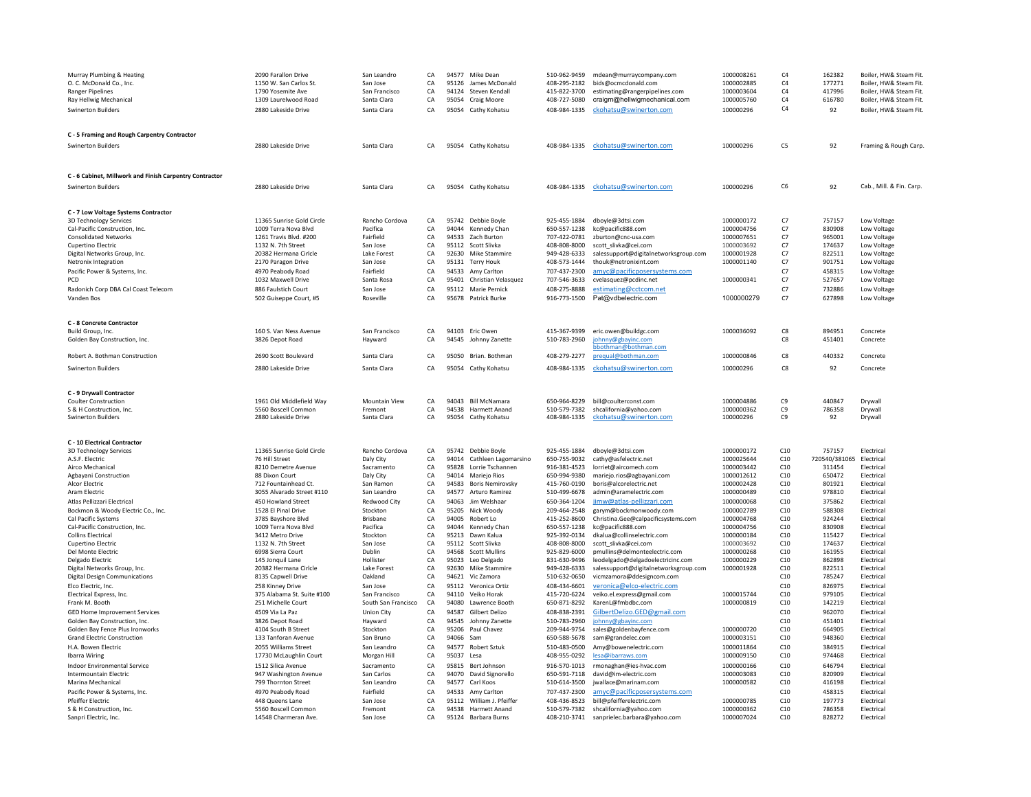| Murray Plumbing & Heating<br>O. C. McDonald Co., Inc.<br><b>Ranger Pipelines</b><br>Ray Hellwig Mechanical<br>Swinerton Builders | 2090 Farallon Drive<br>1150 W. San Carlos St.<br>1790 Yosemite Ave<br>1309 Laurelwood Road<br>2880 Lakeside Drive | San Leandro<br>San Jose<br>San Francisco<br>Santa Clara<br>Santa Clara | CA<br>CA<br>CA<br>CA<br>CA | 94577<br>95126<br>95054<br>95054 | Mike Dean<br>James McDonald<br>94124 Steven Kendall<br>Craig Moore<br>Cathy Kohatsu | 510-962-9459<br>408-295-2182<br>415-822-3700<br>408-727-5080<br>408-984-1335 | mdean@murraycompany.com<br>bids@ocmcdonald.com<br>estimating@rangerpipelines.com<br>craigm@hellwigmechanical.com<br>ckohatsu@swinerton.com | 1000008261<br>1000002885<br>1000003604<br>1000005760<br>100000296 | C4<br>C4<br>$\mathsf{C4}$<br>C4<br>C4 | 162382<br>177271<br>417996<br>616780<br>92 | Boiler, HW& Steam Fit.<br>Boiler, HW& Steam Fit.<br>Boiler, HW& Steam Fit.<br>Boiler, HW& Steam Fit.<br>Boiler, HW& Steam Fit. |
|----------------------------------------------------------------------------------------------------------------------------------|-------------------------------------------------------------------------------------------------------------------|------------------------------------------------------------------------|----------------------------|----------------------------------|-------------------------------------------------------------------------------------|------------------------------------------------------------------------------|--------------------------------------------------------------------------------------------------------------------------------------------|-------------------------------------------------------------------|---------------------------------------|--------------------------------------------|--------------------------------------------------------------------------------------------------------------------------------|
| C - 5 Framing and Rough Carpentry Contractor<br><b>Swinerton Builders</b>                                                        | 2880 Lakeside Drive                                                                                               | Santa Clara                                                            | CA                         |                                  | 95054 Cathy Kohatsu                                                                 | 408-984-1335                                                                 | ckohatsu@swinerton.com                                                                                                                     | 100000296                                                         | C5                                    | 92                                         | Framing & Rough Carp.                                                                                                          |
| C - 6 Cabinet, Millwork and Finish Carpentry Contractor                                                                          |                                                                                                                   |                                                                        |                            |                                  |                                                                                     |                                                                              |                                                                                                                                            |                                                                   |                                       |                                            |                                                                                                                                |
| <b>Swinerton Builders</b>                                                                                                        | 2880 Lakeside Drive                                                                                               | Santa Clara                                                            | CA                         |                                  | 95054 Cathy Kohatsu                                                                 | 408-984-1335                                                                 | ckohatsu@swinerton.com                                                                                                                     | 100000296                                                         | C6                                    | 92                                         | Cab., Mill. & Fin. Carp.                                                                                                       |
| C - 7 Low Voltage Systems Contractor                                                                                             |                                                                                                                   |                                                                        |                            |                                  |                                                                                     |                                                                              |                                                                                                                                            |                                                                   |                                       |                                            |                                                                                                                                |
| 3D Technology Services                                                                                                           | 11365 Sunrise Gold Circle                                                                                         | Rancho Cordova                                                         | CA                         |                                  | 95742 Debbie Boyle                                                                  | 925-455-1884                                                                 | dboyle@3dtsi.com                                                                                                                           | 1000000172                                                        | C7                                    | 757157                                     | <b>Low Voltage</b>                                                                                                             |
| Cal-Pacific Construction, Inc.<br><b>Consolidated Networks</b>                                                                   | 1009 Terra Nova Blvd<br>1261 Travis Blvd. #200                                                                    | Pacifica<br>Fairfield                                                  | CA<br>CA                   | 94044<br>94533                   | Kennedy Chan<br>Zach Burton                                                         | 650-557-1238<br>707-422-0781                                                 | kc@pacific888.com<br>zburton@cnc-usa.com                                                                                                   | 1000004756<br>1000007651                                          | C7<br>C7                              | 830908<br>965001                           | Low Voltage<br>Low Voltage                                                                                                     |
| Cupertino Electric                                                                                                               | 1132 N. 7th Street                                                                                                | San Jose                                                               | CA                         | 95112                            | Scott Slivka                                                                        | 408-808-8000                                                                 | scott slivka@cei.com                                                                                                                       | 1000003692                                                        | C7                                    | 174637                                     | Low Voltage                                                                                                                    |
| Digital Networks Group, Inc.                                                                                                     | 20382 Hermana Cirlcle                                                                                             | Lake Forest                                                            | CA                         |                                  | 92630 Mike Stammire                                                                 | 949-428-6333                                                                 | salessupport@digitalnetworksgroup.com                                                                                                      | 1000001928                                                        | C7                                    | 822511                                     | Low Voltage                                                                                                                    |
| Netronix Integration                                                                                                             | 2170 Paragon Drive                                                                                                | San Jose                                                               | CA                         |                                  | 95131 Terry Houk                                                                    | 408-573-1444                                                                 | thouk@netronixint.com                                                                                                                      | 1000001140                                                        | C7                                    | 901751                                     | Low Voltage                                                                                                                    |
| Pacific Power & Systems, Inc.                                                                                                    | 4970 Peabody Road                                                                                                 | Fairfield                                                              | CA                         | 94533                            | Amy Carlton                                                                         | 707-437-2300                                                                 | amyc@pacificposersystems.com                                                                                                               | 1000000341                                                        | C7                                    | 458315                                     | Low Voltage                                                                                                                    |
| <b>PCD</b><br>Radonich Corp DBA Cal Coast Telecom                                                                                | 1032 Maxwell Drive<br>886 Faulstich Court                                                                         | Santa Rosa<br>San Jose                                                 | CA<br>CA                   | 95401<br>95112                   | Christian Velasquez<br>Marie Pernick                                                | 707-546-3633<br>408-275-8888                                                 | cvelasquez@pcdinc.net<br>estimating@cctcom.net                                                                                             |                                                                   | C7<br>C7                              | 527657<br>732886                           | Low Voltage<br>Low Voltage                                                                                                     |
| Vanden Bos                                                                                                                       | 502 Guiseppe Court, #5                                                                                            | Roseville                                                              | CA                         | 95678                            | Patrick Burke                                                                       | 916-773-1500                                                                 | Pat@vdbelectric.com                                                                                                                        | 1000000279                                                        | C7                                    | 627898                                     | Low Voltage                                                                                                                    |
|                                                                                                                                  |                                                                                                                   |                                                                        |                            |                                  |                                                                                     |                                                                              |                                                                                                                                            |                                                                   |                                       |                                            |                                                                                                                                |
| C - 8 Concrete Contractor                                                                                                        |                                                                                                                   |                                                                        |                            |                                  |                                                                                     |                                                                              |                                                                                                                                            |                                                                   |                                       |                                            |                                                                                                                                |
| Build Group, Inc.<br>Golden Bay Construction, Inc.                                                                               | 160 S. Van Ness Avenue<br>3826 Depot Road                                                                         | San Francisco<br>Hayward                                               | CA<br>CA                   |                                  | 94103 Eric Owen<br>94545 Johnny Zanette                                             | 415-367-9399<br>510-783-2960                                                 | eric.owen@buildgc.com<br>johnny@gbayinc.com<br>bbothman@bothman.com                                                                        | 1000036092                                                        | C8<br>C8                              | 894951<br>451401                           | Concrete<br>Concrete                                                                                                           |
| Robert A. Bothman Construction                                                                                                   | 2690 Scott Boulevard                                                                                              | Santa Clara                                                            | CA                         |                                  | 95050 Brian, Bothman                                                                | 408-279-2277                                                                 | prequal@bothman.com                                                                                                                        | 1000000846                                                        | C8                                    | 440332                                     | Concrete                                                                                                                       |
| <b>Swinerton Builders</b>                                                                                                        | 2880 Lakeside Drive                                                                                               | Santa Clara                                                            | CA                         |                                  | 95054 Cathy Kohatsu                                                                 | 408-984-1335                                                                 | ckohatsu@swinerton.com                                                                                                                     | 100000296                                                         | C8                                    | 92                                         | Concrete                                                                                                                       |
|                                                                                                                                  |                                                                                                                   |                                                                        |                            |                                  |                                                                                     |                                                                              |                                                                                                                                            |                                                                   |                                       |                                            |                                                                                                                                |
| C - 9 Drywall Contractor                                                                                                         |                                                                                                                   |                                                                        |                            |                                  |                                                                                     |                                                                              |                                                                                                                                            |                                                                   |                                       |                                            |                                                                                                                                |
| <b>Coulter Construction</b><br>S & H Construction, Inc.                                                                          | 1961 Old Middlefield Way<br>5560 Boscell Common                                                                   | Mountain View<br>Fremont                                               | CA<br>CA                   |                                  | 94043 Bill McNamara<br>94538 Harmett Anand                                          | 510-579-7382                                                                 | 650-964-8229 bill@coulterconst.com<br>shcalifornia@yahoo.com                                                                               | 1000004886<br>1000000362                                          | C9<br>C9                              | 440847<br>786358                           | Drywall<br>Drywall                                                                                                             |
| Swinerton Builders                                                                                                               | 2880 Lakeside Drive                                                                                               | Santa Clara                                                            | CA                         | 95054                            | Cathy Kohatsu                                                                       | 408-984-1335                                                                 | ckohatsu@swinerton.com                                                                                                                     | 100000296                                                         | C9                                    | 92                                         | Drywall                                                                                                                        |
| C - 10 Electrical Contractor                                                                                                     |                                                                                                                   |                                                                        |                            |                                  |                                                                                     |                                                                              |                                                                                                                                            |                                                                   |                                       |                                            |                                                                                                                                |
| 3D Technology Services                                                                                                           | 11365 Sunrise Gold Circle                                                                                         | Rancho Cordova                                                         | CA                         | 95742                            | Debbie Boyle                                                                        | 925-455-1884                                                                 | dboyle@3dtsi.com                                                                                                                           | 1000000172                                                        | C10                                   | 757157                                     | Electrica                                                                                                                      |
| A.S.F. Electric                                                                                                                  | 76 Hill Street                                                                                                    | Daly City                                                              | CA                         | 94014                            | Cathleen Lagomarsino                                                                | 650-755-9032                                                                 | cathy@asfelectric.net                                                                                                                      | 1000025644                                                        | C10                                   | 720540/381065                              | Electrical                                                                                                                     |
| Airco Mechanical                                                                                                                 | 8210 Demetre Avenue                                                                                               | Sacramento                                                             | CA                         |                                  | 95828 Lorrie Tschannen                                                              | 916-381-4523                                                                 | lorriet@aircomech.com                                                                                                                      | 1000003442                                                        | C10                                   | 311454                                     | Electrical                                                                                                                     |
| Agbayani Construction                                                                                                            | 88 Dixon Court<br>712 Fountainhead Ct.                                                                            | Daly City                                                              | CA<br>CA                   | 94014<br>94583                   | Mariejo Rios                                                                        | 650-994-9380                                                                 | mariejo.rios@agbayani.com                                                                                                                  | 1000012612                                                        | C10<br>C10                            | 650472<br>801921                           | Electrical                                                                                                                     |
| Alcor Electric<br>Aram Electric                                                                                                  | 3055 Alvarado Street #110                                                                                         | San Ramon<br>San Leandro                                               | CA                         | 94577                            | <b>Boris Nemirovsky</b><br>Arturo Ramirez                                           | 415-760-0190<br>510-499-6678                                                 | boris@alcorelectric.net<br>admin@aramelectric.com                                                                                          | 1000002428<br>1000000489                                          | C10                                   | 978810                                     | Electrical<br>Electrical                                                                                                       |
| Atlas Pellizzari Electrical                                                                                                      | 450 Howland Street                                                                                                | Redwood City                                                           | CA                         | 94063                            | Jim Welshaar                                                                        | 650-364-1204                                                                 | jimw@atlas-pellizzari.com                                                                                                                  | 1000000068                                                        | C10                                   | 375862                                     | Electrical                                                                                                                     |
| Bockmon & Woody Electric Co., Inc.                                                                                               | 1528 El Pinal Drive                                                                                               | Stockton                                                               | CA                         | 95205                            | Nick Woody                                                                          | 209-464-2548                                                                 | garym@bockmonwoody.com                                                                                                                     | 1000002789                                                        | C10                                   | 588308                                     | Electrical                                                                                                                     |
| Cal Pacific Systems                                                                                                              | 3785 Bayshore Blvd                                                                                                | Brisbane                                                               | CA                         | 94005                            | Robert Lo                                                                           | 415-252-8600                                                                 | Christina.Gee@calpacificsystems.com                                                                                                        | 1000004768                                                        | C10                                   | 924244                                     | Electrical                                                                                                                     |
| Cal-Pacific Construction, Inc.                                                                                                   | 1009 Terra Nova Blvd                                                                                              | Pacifica                                                               | CA<br>CA                   | 94044                            | Kennedy Chan                                                                        | 650-557-1238                                                                 | kc@pacific888.com                                                                                                                          | 1000004756                                                        | C10<br>C10                            | 830908                                     | Electrical                                                                                                                     |
| <b>Collins Electrical</b><br>Cupertino Electric                                                                                  | 3412 Metro Drive<br>1132 N. 7th Street                                                                            | Stockton<br>San Jose                                                   | CA                         | 95213<br>95112                   | Dawn Kalua<br>Scott Slivka                                                          | 925-392-0134<br>408-808-8000                                                 | dkalua@collinselectric.com<br>scott slivka@cei.com                                                                                         | 1000000184<br>1000003692                                          | C10                                   | 115427<br>174637                           | Electrical<br>Electrical                                                                                                       |
| Del Monte Electric                                                                                                               | 6998 Sierra Court                                                                                                 | Dublin                                                                 | CA                         | 94568                            | <b>Scott Mullins</b>                                                                | 925-829-6000                                                                 | pmullins@delmonteelectric.com                                                                                                              | 1000000268                                                        | C10                                   | 161955                                     | Electrical                                                                                                                     |
| Delgado Electric                                                                                                                 | 145 Jonguil Lane                                                                                                  | Hollister                                                              | CA                         | 95023                            | Leo Delgado                                                                         | 831-630-9496                                                                 | leodelgado@delgadoelectricinc.com                                                                                                          | 1000000229                                                        | C10                                   | 862898                                     | Electrical                                                                                                                     |
| Digital Networks Group, Inc.                                                                                                     | 20382 Hermana Cirlcle                                                                                             | Lake Forest                                                            | CA                         |                                  | 92630 Mike Stammire                                                                 | 949-428-6333                                                                 | salessupport@digitalnetworksgroup.com                                                                                                      | 1000001928                                                        | C10                                   | 822511                                     | Electrical                                                                                                                     |
| <b>Digital Design Communications</b><br>Elco Electric, Inc.                                                                      | 8135 Capwell Drive<br>258 Kinney Drive                                                                            | Oakland<br>San Jose                                                    | CA<br>CA                   | 94621                            | Vic Zamora<br>95112 Veronica Ortiz                                                  | 510-632-0650<br>408-434-6601                                                 | vicmzamora@ddesigncom.com<br>veronica@elco-electric.com                                                                                    |                                                                   | C10<br>C10                            | 785247<br>826975                           | Electrical<br>Electrica                                                                                                        |
| Electrical Express, Inc.                                                                                                         | 375 Alabama St. Suite #100                                                                                        | San Francisco                                                          | CA                         |                                  | 94110 Veiko Horak                                                                   | 415-720-6224                                                                 | veiko.el.express@gmail.com                                                                                                                 | 1000015744                                                        | C10                                   | 979105                                     | Electrical                                                                                                                     |
| Frank M. Booth                                                                                                                   | 251 Michelle Court                                                                                                | South San Francisco                                                    | CA                         |                                  | 94080 Lawrence Booth                                                                | 650-871-8292                                                                 | KarenL@fmbdbc.com                                                                                                                          | 1000000819                                                        | C10                                   | 142219                                     | Electrical                                                                                                                     |
| GED Home Improvement Services                                                                                                    | 4509 Via La Paz                                                                                                   | <b>Union City</b>                                                      | CA                         | 94587                            | <b>Gilbert Delizo</b>                                                               | 408-838-2391                                                                 | GilbertDelizo.GED@gmail.com                                                                                                                |                                                                   | C10                                   | 962070                                     | Flectrical                                                                                                                     |
| Golden Bay Construction, Inc.                                                                                                    | 3826 Depot Road                                                                                                   | Hayward                                                                | CA                         |                                  | 94545 Johnny Zanette                                                                | 510-783-2960                                                                 | johnny@gbayinc.com                                                                                                                         |                                                                   | C10                                   | 451401                                     | Flectrica                                                                                                                      |
| Golden Bay Fence Plus Ironworks<br><b>Grand Electric Construction</b>                                                            | 4104 South B Street<br>133 Tanforan Avenue                                                                        | Stockton<br>San Bruno                                                  | CA<br>CA                   | 94066                            | 95206 Paul Chavez<br>Sam                                                            | 209-944-9754<br>650-588-5678                                                 | sales@goldenbayfence.com                                                                                                                   | 1000000720<br>1000003151                                          | C10<br>C10                            | 664905<br>948360                           | Electrical<br>Electrica                                                                                                        |
| H.A. Bowen Flectric                                                                                                              | 2055 Williams Street                                                                                              | San Leandro                                                            | CA                         |                                  | 94577 Robert Sztuk                                                                  | 510-483-0500                                                                 | sam@grandelec.com<br>Amy@bowenelectric.com                                                                                                 | 1000011864                                                        | C10                                   | 384915                                     | Flectrical                                                                                                                     |
| Ibarra Wiring                                                                                                                    | 17730 McLaughlin Court                                                                                            | Morgan Hill                                                            | CA                         | 95037 Lesa                       |                                                                                     | 408-955-0292                                                                 | lesa@ibarraws.com                                                                                                                          | 1000009150                                                        | C10                                   | 974468                                     | Electrical                                                                                                                     |
| Indoor Environmental Service                                                                                                     | 1512 Silica Avenue                                                                                                | Sacramento                                                             | CA                         | 95815                            | Bert Johnson                                                                        | 916-570-1013                                                                 | rmonaghan@ies-hvac.com                                                                                                                     | 1000000166                                                        | C10                                   | 646794                                     | Electrical                                                                                                                     |
| <b>Intermountain Electric</b>                                                                                                    | 947 Washington Avenue                                                                                             | San Carlos                                                             | CA                         | 94070                            | David Signorello                                                                    | 650-591-7118                                                                 | david@im-electric.com                                                                                                                      | 1000003083                                                        | C10                                   | 820909                                     | Electrical                                                                                                                     |
| Marina Mechanical                                                                                                                | 799 Thornton Street                                                                                               | San Leandro                                                            | CA                         | 94577                            | Carl Koos                                                                           | 510-614-3500                                                                 | jwallace@marinam.com                                                                                                                       | 1000000582                                                        | C10                                   | 416198                                     | Electrical                                                                                                                     |
| Pacific Power & Systems, Inc.                                                                                                    | 4970 Peabody Road                                                                                                 | Fairfield                                                              | CA                         | 94533                            | Amy Carlton                                                                         | 707-437-2300                                                                 | amyc@pacificposersystems.com                                                                                                               |                                                                   | C10                                   | 458315                                     | Electrica                                                                                                                      |
| <b>Pfeiffer Electric</b><br>S & H Construction, Inc.                                                                             | 448 Queens Lane<br>5560 Boscell Common                                                                            | San Jose<br>Fremont                                                    | CA<br>CA                   |                                  | 95112 William J. Pfeiffer<br>94538 Harmett Anand                                    | 408-436-8523<br>510-579-7382                                                 | bill@pfeifferelectric.com                                                                                                                  | 1000000785<br>1000000362                                          | C10<br>C10                            | 197773<br>786358                           | Electrical<br>Electrical                                                                                                       |
| Sanpri Electric, Inc.                                                                                                            | 14548 Charmeran Ave.                                                                                              | San Jose                                                               | CA                         |                                  | 95124 Barbara Burns                                                                 |                                                                              | shcalifornia@yahoo.com<br>408-210-3741 sanprielec.barbara@yahoo.com                                                                        | 1000007024                                                        | C10                                   | 828272                                     | Electrical                                                                                                                     |
|                                                                                                                                  |                                                                                                                   |                                                                        |                            |                                  |                                                                                     |                                                                              |                                                                                                                                            |                                                                   |                                       |                                            |                                                                                                                                |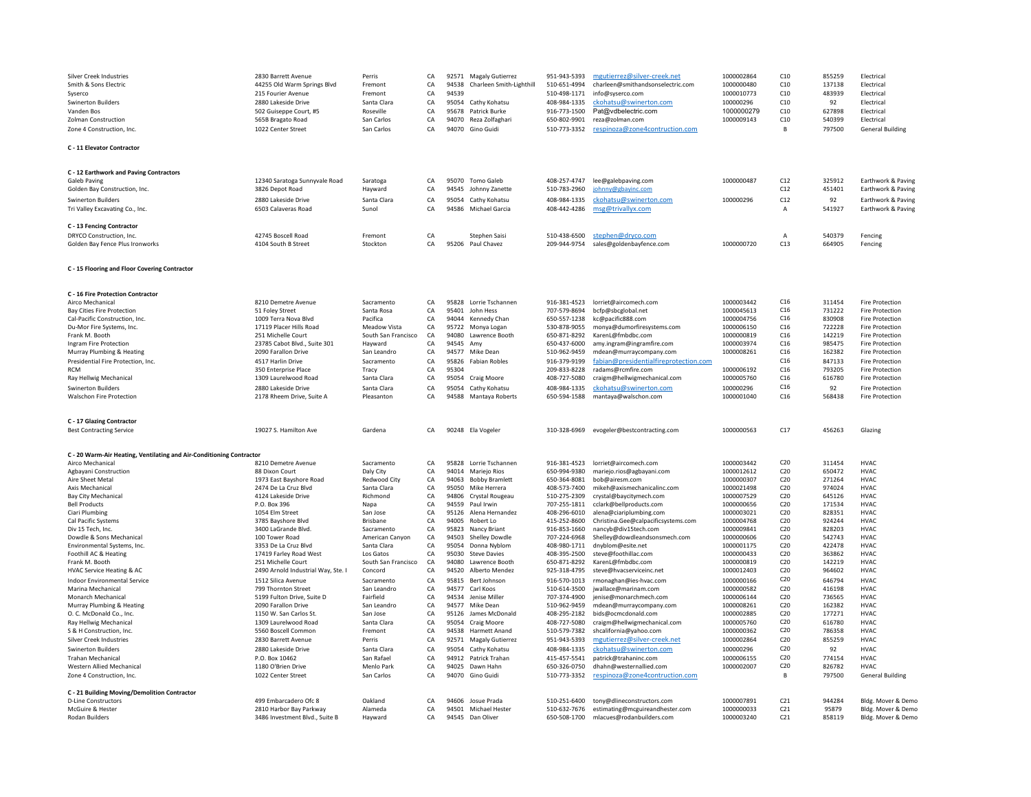| <b>Silver Creek Industries</b><br>Smith & Sons Electric<br>Syserco<br><b>Swinerton Builders</b><br>Vanden Bos<br><b>Zolman Construction</b><br>Zone 4 Construction, Inc.<br>C - 11 Elevator Contractor | 2830 Barrett Avenue<br>44255 Old Warm Springs Blvd<br>215 Fourier Avenue<br>2880 Lakeside Drive<br>502 Guiseppe Court, #5<br>565B Bragato Road<br>1022 Center Street | Perris<br>Fremont<br>Fremont<br>Santa Clara<br>Roseville<br>San Carlos<br>San Carlos | CA<br>CA<br>CA<br>CA<br>CA<br>CA<br>CA | 94538<br>94539<br>95678<br>94070 | 92571 Magaly Gutierrez<br>Charleen Smith-Lighthill<br>95054 Cathy Kohatsu<br>Patrick Burke<br>Reza Zolfaghari<br>94070 Gino Guidi | 951-943-5393<br>510-651-4994<br>510-498-1171<br>408-984-1335<br>916-773-1500<br>650-802-9901<br>510-773-3352 | mgutierrez@silver-creek.net<br>charleen@smithandsonselectric.com<br>info@syserco.com<br>ckohatsu@swinerton.com<br>Pat@vdbelectric.com<br>reza@zolman.com<br>respinoza@zone4contruction.com | 1000002864<br>1000000480<br>1000010773<br>100000296<br>1000000279<br>1000009143 | C10<br>C10<br>C10<br>C10<br>C10<br>C10<br>B | 855259<br>137138<br>483939<br>92<br>627898<br>540399<br>797500 | Electrical<br>Electrical<br>Electrica<br>Electrical<br>Electrical<br>Electrical<br><b>General Building</b> |
|--------------------------------------------------------------------------------------------------------------------------------------------------------------------------------------------------------|----------------------------------------------------------------------------------------------------------------------------------------------------------------------|--------------------------------------------------------------------------------------|----------------------------------------|----------------------------------|-----------------------------------------------------------------------------------------------------------------------------------|--------------------------------------------------------------------------------------------------------------|--------------------------------------------------------------------------------------------------------------------------------------------------------------------------------------------|---------------------------------------------------------------------------------|---------------------------------------------|----------------------------------------------------------------|------------------------------------------------------------------------------------------------------------|
| C - 12 Earthwork and Paving Contractors<br>Galeb Paving<br>Golden Bay Construction, Inc.                                                                                                               | 12340 Saratoga Sunnyvale Road<br>3826 Depot Road                                                                                                                     | Saratoga<br>Hayward                                                                  | СA<br>CA                               | 94545                            | 95070 Tomo Galeb<br>Johnny Zanette                                                                                                | 408-257-4747<br>510-783-2960                                                                                 | lee@galebpaving.com<br>johnny@gbayinc.com                                                                                                                                                  | 1000000487                                                                      | C12<br>C12                                  | 325912<br>451401                                               | Earthwork & Paving<br>Earthwork & Paving                                                                   |
| <b>Swinerton Builders</b>                                                                                                                                                                              | 2880 Lakeside Drive                                                                                                                                                  | Santa Clara                                                                          | CA                                     |                                  | 95054 Cathy Kohatsu                                                                                                               | 408-984-1335                                                                                                 | ckohatsu@swinerton.com                                                                                                                                                                     | 100000296                                                                       | C12                                         | 92                                                             | Earthwork & Paving                                                                                         |
| Tri Valley Excavating Co., Inc.                                                                                                                                                                        | 6503 Calaveras Road                                                                                                                                                  | Sunol                                                                                | CA                                     | 94586                            | Michael Garcia                                                                                                                    | 408-442-4286                                                                                                 | msg@trivallyx.com                                                                                                                                                                          |                                                                                 | $\overline{A}$                              | 541927                                                         | Earthwork & Pavine                                                                                         |
| C - 13 Fencing Contractor                                                                                                                                                                              |                                                                                                                                                                      |                                                                                      |                                        |                                  |                                                                                                                                   |                                                                                                              |                                                                                                                                                                                            |                                                                                 |                                             |                                                                |                                                                                                            |
| DRYCO Construction, Inc.                                                                                                                                                                               | 42745 Boscell Road                                                                                                                                                   | Fremont                                                                              | CA<br>CA                               |                                  | Stephen Saisi                                                                                                                     | 510-438-6500                                                                                                 | stephen@dryco.com                                                                                                                                                                          | 1000000720                                                                      | $\overline{A}$                              | 540379                                                         | Fencing                                                                                                    |
| Golden Bay Fence Plus Ironworks                                                                                                                                                                        | 4104 South B Street                                                                                                                                                  | Stockton                                                                             |                                        | 95206                            | Paul Chavez                                                                                                                       | 209-944-9754                                                                                                 | sales@goldenbayfence.com                                                                                                                                                                   |                                                                                 | C13                                         | 664905                                                         | Fencing                                                                                                    |
| C - 15 Flooring and Floor Covering Contractor                                                                                                                                                          |                                                                                                                                                                      |                                                                                      |                                        |                                  |                                                                                                                                   |                                                                                                              |                                                                                                                                                                                            |                                                                                 |                                             |                                                                |                                                                                                            |
| C - 16 Fire Protection Contractor                                                                                                                                                                      |                                                                                                                                                                      |                                                                                      |                                        |                                  |                                                                                                                                   |                                                                                                              |                                                                                                                                                                                            |                                                                                 |                                             |                                                                |                                                                                                            |
| Airco Mechanical<br><b>Bay Cities Fire Protection</b>                                                                                                                                                  | 8210 Demetre Avenue                                                                                                                                                  | Sacramento<br>Santa Rosa                                                             | CA<br>CA                               |                                  | 95828 Lorrie Tschannen<br>95401 John Hess                                                                                         | 916-381-4523<br>707-579-8694                                                                                 | lorriet@aircomech.com                                                                                                                                                                      | 1000003442<br>1000045613                                                        | C16<br>C16                                  | 311454<br>731222                                               | <b>Fire Protection</b><br><b>Fire Protection</b>                                                           |
| Cal-Pacific Construction, Inc.                                                                                                                                                                         | 51 Foley Street<br>1009 Terra Nova Blvd                                                                                                                              | Pacifica                                                                             | CA                                     |                                  | 94044 Kennedy Chan                                                                                                                | 650-557-1238                                                                                                 | bcfp@sbcglobal.net<br>kc@pacific888.com                                                                                                                                                    | 1000004756                                                                      | C16                                         | 830908                                                         | <b>Fire Protection</b>                                                                                     |
| Du-Mor Fire Systems, Inc.                                                                                                                                                                              | 17119 Placer Hills Road                                                                                                                                              | <b>Meadow Vista</b>                                                                  | CA                                     | 95722                            | Monya Logan                                                                                                                       | 530-878-9055                                                                                                 | monya@dumorfiresystems.com                                                                                                                                                                 | 1000006150                                                                      | C16                                         | 722228                                                         | <b>Fire Protection</b>                                                                                     |
| Frank M. Booth                                                                                                                                                                                         | 251 Michelle Court                                                                                                                                                   | South San Francisco                                                                  | CA                                     | 94080                            | Lawrence Booth                                                                                                                    | 650-871-8292                                                                                                 | KarenL@fmbdbc.com                                                                                                                                                                          | 1000000819                                                                      | C16                                         | 142219                                                         | <b>Fire Protection</b>                                                                                     |
| Ingram Fire Protection                                                                                                                                                                                 | 23785 Cabot Blvd., Suite 301                                                                                                                                         | Hayward                                                                              | CA                                     | 94545 Amv                        |                                                                                                                                   | 650-437-6000                                                                                                 | amy.ingram@ingramfire.com                                                                                                                                                                  | 1000003974                                                                      | C16<br>C16                                  | 985475                                                         | <b>Fire Protection</b>                                                                                     |
| Murray Plumbing & Heating<br>Presidential Fire Protection, Inc.                                                                                                                                        | 2090 Farallon Drive<br>4517 Harlin Drive                                                                                                                             | San Leandro<br>Sacramento                                                            | CA<br>${\sf CA}$                       | 94577                            | Mike Dear<br>95826 Fabian Robles                                                                                                  | 510-962-9459<br>916-379-9199                                                                                 | mdean@murraycompany.com<br>fabian@presidentialfireprotection.com                                                                                                                           | 1000008261                                                                      | C16                                         | 162382<br>847133                                               | <b>Fire Protection</b><br><b>Fire Protection</b>                                                           |
| <b>RCM</b>                                                                                                                                                                                             | 350 Enterprise Place                                                                                                                                                 | Tracy                                                                                | ${\sf CA}$                             | 95304                            |                                                                                                                                   | 209-833-8228                                                                                                 | radams@rcmfire.com                                                                                                                                                                         | 1000006192                                                                      | C16                                         | 793205                                                         | <b>Fire Protection</b>                                                                                     |
| Ray Hellwig Mechanical                                                                                                                                                                                 | 1309 Laurelwood Road                                                                                                                                                 | Santa Clara                                                                          | CA                                     |                                  | 95054 Craig Moore                                                                                                                 | 408-727-5080                                                                                                 | craigm@hellwigmechanical.com                                                                                                                                                               | 1000005760                                                                      | C16                                         | 616780                                                         | <b>Fire Protection</b>                                                                                     |
| Swinerton Builders                                                                                                                                                                                     | 2880 Lakeside Drive                                                                                                                                                  | Santa Clara                                                                          | CA                                     |                                  | 95054 Cathy Kohatsu                                                                                                               | 408-984-1335                                                                                                 | ckohatsu@swinerton.com                                                                                                                                                                     | 100000296                                                                       | C16                                         | 92                                                             | <b>Fire Protection</b>                                                                                     |
| Walschon Fire Protection                                                                                                                                                                               | 2178 Rheem Drive, Suite A                                                                                                                                            | Pleasanton                                                                           | CA                                     |                                  | 94588 Mantaya Roberts                                                                                                             | 650-594-1588                                                                                                 | mantaya@walschon.com                                                                                                                                                                       | 1000001040                                                                      | C16                                         | 568438                                                         | <b>Fire Protection</b>                                                                                     |
|                                                                                                                                                                                                        |                                                                                                                                                                      |                                                                                      |                                        |                                  |                                                                                                                                   |                                                                                                              |                                                                                                                                                                                            |                                                                                 |                                             |                                                                |                                                                                                            |
| C - 17 Glazing Contractor<br><b>Best Contracting Service</b>                                                                                                                                           | 19027 S. Hamilton Ave                                                                                                                                                | Gardena                                                                              | CA.                                    |                                  | 90248 Ela Vogeler                                                                                                                 | 310-328-6969                                                                                                 | evogeler@bestcontracting.com                                                                                                                                                               | 1000000563                                                                      | C17                                         | 456263                                                         | Glazing                                                                                                    |
|                                                                                                                                                                                                        |                                                                                                                                                                      |                                                                                      |                                        |                                  |                                                                                                                                   |                                                                                                              |                                                                                                                                                                                            |                                                                                 |                                             |                                                                |                                                                                                            |
| C - 20 Warm-Air Heating, Ventilating and Air-Conditioning Contractor<br>Airco Mechanical                                                                                                               | 8210 Demetre Avenue                                                                                                                                                  | Sacramento                                                                           | CA                                     |                                  | 95828 Lorrie Tschannen                                                                                                            | 916-381-4523                                                                                                 | lorriet@aircomech.com                                                                                                                                                                      | 1000003442                                                                      | C20                                         | 311454                                                         | <b>HVAC</b>                                                                                                |
| Agbayani Construction                                                                                                                                                                                  | 88 Dixon Court                                                                                                                                                       | Daly City                                                                            | CA                                     |                                  | 94014 Mariejo Rios                                                                                                                | 650-994-9380                                                                                                 | mariejo.rios@agbayani.com                                                                                                                                                                  | 1000012612                                                                      | C <sub>20</sub>                             | 650472                                                         | <b>HVAC</b>                                                                                                |
| Aire Sheet Metal                                                                                                                                                                                       | 1973 East Bayshore Road                                                                                                                                              | Redwood City                                                                         | CA                                     | 94063                            | <b>Bobby Bramlett</b>                                                                                                             | 650-364-8081                                                                                                 | bob@airesm.com                                                                                                                                                                             | 1000000307                                                                      | C20                                         | 271264                                                         | <b>HVAC</b>                                                                                                |
| Axis Mechanical                                                                                                                                                                                        | 2474 De La Cruz Blvd                                                                                                                                                 | Santa Clara                                                                          | CA                                     | 95050                            | Mike Herrera                                                                                                                      | 408-573-7400                                                                                                 | mikeh@axismechanicalinc.com                                                                                                                                                                | 1000021498                                                                      | C <sub>20</sub>                             | 974024                                                         | <b>HVAC</b>                                                                                                |
| <b>Bay City Mechanical</b><br><b>Bell Products</b>                                                                                                                                                     | 4124 Lakeside Drive<br>P.O. Box 396                                                                                                                                  | Richmond<br>Napa                                                                     | <b>CA</b><br>CA                        | 94806<br>94559                   | Crystal Rougeau<br>Paul Irwin                                                                                                     | 510-275-2309<br>707-255-1811                                                                                 | crystal@baycitymech.com<br>cclark@bellproducts.com                                                                                                                                         | 1000007529<br>1000000656                                                        | C20<br>C20                                  | 645126<br>171534                                               | <b>HVAC</b><br><b>HVAC</b>                                                                                 |
| Ciari Plumbing                                                                                                                                                                                         | 1054 Elm Street                                                                                                                                                      | San Jose                                                                             | CA                                     |                                  | 95126 Alena Hernandez                                                                                                             | 408-296-6010                                                                                                 | alena@ciariplumbing.com                                                                                                                                                                    | 1000003021                                                                      | C20                                         | 828351                                                         | <b>HVAC</b>                                                                                                |
| Cal Pacific Systems                                                                                                                                                                                    | 3785 Bayshore Blvd                                                                                                                                                   | <b>Brisbane</b>                                                                      | CA                                     | 94005                            | Robert Lo                                                                                                                         | 415-252-8600                                                                                                 | Christina.Gee@calpacificsystems.com                                                                                                                                                        | 1000004768                                                                      | C20                                         | 924244                                                         | <b>HVAC</b>                                                                                                |
| Div 15 Tech, Inc.                                                                                                                                                                                      | 3400 LaGrande Blvd.                                                                                                                                                  | Sacramento                                                                           | CA                                     | 95823                            | Nancy Briant                                                                                                                      | 916-853-1660                                                                                                 | nancyb@div15tech.com                                                                                                                                                                       | 1000009841                                                                      | C20                                         | 828203                                                         | <b>HVAC</b>                                                                                                |
| Dowdle & Sons Mechanical<br>Environmental Systems, Inc.                                                                                                                                                | 100 Tower Road<br>3353 De La Cruz Blvd                                                                                                                               | American Canyon<br>Santa Clara                                                       | CA<br>CA                               | 94503<br>95054                   | Shelley Dowdle<br>Donna Nyblom                                                                                                    | 707-224-6968<br>408-980-1711                                                                                 | Shelley@dowdleandsonsmech.com<br>dnyblom@esite.net                                                                                                                                         | 1000000606<br>1000001175                                                        | C20<br>C20                                  | 542743<br>422478                                               | <b>HVAC</b><br><b>HVAC</b>                                                                                 |
| Foothill AC & Heating                                                                                                                                                                                  | 17419 Farley Road West                                                                                                                                               | Los Gatos                                                                            | CA                                     | 95030                            | <b>Steve Davies</b>                                                                                                               | 408-395-2500                                                                                                 | steve@foothillac.com                                                                                                                                                                       | 1000000433                                                                      | C20                                         | 363862                                                         | <b>HVAC</b>                                                                                                |
| Frank M. Booth                                                                                                                                                                                         | 251 Michelle Court                                                                                                                                                   | South San Francisco                                                                  | CA                                     | 94080                            | Lawrence Booth                                                                                                                    | 650-871-8292                                                                                                 | KarenL@fmbdbc.com                                                                                                                                                                          | 1000000819                                                                      | C <sub>20</sub>                             | 142219                                                         | <b>HVAC</b>                                                                                                |
| HVAC Service Heating & AC                                                                                                                                                                              | 2490 Arnold Industrial Way, Ste. I                                                                                                                                   | Concord                                                                              | CA                                     |                                  | 94520 Alberto Mendez                                                                                                              | 925-318-4795                                                                                                 | steve@hvacserviceinc.net                                                                                                                                                                   | 1000012403                                                                      | C <sub>20</sub>                             | 964602                                                         | <b>HVAC</b>                                                                                                |
| <b>Indoor Environmental Service</b>                                                                                                                                                                    | 1512 Silica Avenue                                                                                                                                                   | Sacramento                                                                           | CA                                     | 95815                            | Bert Johnson                                                                                                                      | 916-570-1013                                                                                                 | rmonaghan@ies-hvac.com                                                                                                                                                                     | 1000000166                                                                      | C <sub>20</sub>                             | 646794                                                         | <b>HVAC</b>                                                                                                |
| Marina Mechanical<br>Monarch Mechanical                                                                                                                                                                | 799 Thornton Street<br>5199 Fulton Drive, Suite D                                                                                                                    | San Leandro<br>Fairfield                                                             | CA<br>CA                               | 94577<br>94534                   | Carl Koos<br>Jenise Miller                                                                                                        | 510-614-3500<br>707-374-4900                                                                                 | iwallace@marinam.com<br>jenise@monarchmech.com                                                                                                                                             | 1000000582<br>1000006144                                                        | C20<br>C <sub>20</sub>                      | 416198<br>736565                                               | <b>HVAC</b><br><b>HVAC</b>                                                                                 |
| Murray Plumbing & Heating                                                                                                                                                                              | 2090 Farallon Drive                                                                                                                                                  | San Leandro                                                                          | CA                                     |                                  | 94577 Mike Dean                                                                                                                   | 510-962-9459                                                                                                 | mdean@murraycompany.com                                                                                                                                                                    | 1000008261                                                                      | C20                                         | 162382                                                         | <b>HVAC</b>                                                                                                |
| O. C. McDonald Co., Inc.                                                                                                                                                                               | 1150 W. San Carlos St.                                                                                                                                               | San Jose                                                                             | CA                                     |                                  | 95126 James McDonald                                                                                                              | 408-295-2182                                                                                                 | bids@ocmcdonald.com                                                                                                                                                                        | 1000002885                                                                      | C20                                         | 177271                                                         | <b>HVAC</b>                                                                                                |
| Ray Hellwig Mechanical                                                                                                                                                                                 | 1309 Laurelwood Road                                                                                                                                                 | Santa Clara                                                                          | CA                                     |                                  | 95054 Craig Moore                                                                                                                 | 408-727-5080                                                                                                 | craigm@hellwigmechanical.com                                                                                                                                                               | 1000005760                                                                      | C20                                         | 616780                                                         | <b>HVAC</b>                                                                                                |
| S & H Construction, Inc.                                                                                                                                                                               | 5560 Boscell Common                                                                                                                                                  | Fremont                                                                              | CA                                     |                                  | 94538 Harmett Anand                                                                                                               | 510-579-7382                                                                                                 | shcalifornia@yahoo.com                                                                                                                                                                     | 1000000362                                                                      | C20                                         | 786358                                                         | <b>HVAC</b>                                                                                                |
| <b>Silver Creek Industries</b><br><b>Swinerton Builders</b>                                                                                                                                            | 2830 Barrett Avenue<br>2880 Lakeside Drive                                                                                                                           | Perris<br>Santa Clara                                                                | CA<br>CA                               |                                  | 92571 Magaly Gutierrez<br>95054 Cathy Kohatsu                                                                                     | 951-943-5393<br>408-984-1335                                                                                 | mgutierrez@silver-creek.net<br>ckohatsu@swinerton.com                                                                                                                                      | 1000002864<br>100000296                                                         | C20<br>C20                                  | 855259<br>92                                                   | <b>HVAC</b><br><b>HVAC</b>                                                                                 |
| <b>Trahan Mechanical</b>                                                                                                                                                                               | P.O. Box 10462                                                                                                                                                       | San Rafael                                                                           | CA                                     |                                  | 94912 Patrick Trahan                                                                                                              | 415-457-5541                                                                                                 | patrick@trahaninc.com                                                                                                                                                                      | 1000006155                                                                      | C20                                         | 774154                                                         | <b>HVAC</b>                                                                                                |
| Western Allied Mechanical                                                                                                                                                                              | 1180 O'Brien Drive                                                                                                                                                   | Menlo Park                                                                           | CA                                     |                                  | 94025 Dawn Hahn                                                                                                                   | 650-326-0750                                                                                                 | dhahn@westernallied.com                                                                                                                                                                    | 1000002007                                                                      | C20                                         | 826782                                                         | <b>HVAC</b>                                                                                                |
| Zone 4 Construction, Inc.                                                                                                                                                                              | 1022 Center Street                                                                                                                                                   | San Carlos                                                                           | CA                                     |                                  | 94070 Gino Guidi                                                                                                                  | 510-773-3352                                                                                                 | respinoza@zone4contruction.com                                                                                                                                                             |                                                                                 | B                                           | 797500                                                         | <b>General Building</b>                                                                                    |
| C - 21 Building Moving/Demolition Contractor                                                                                                                                                           |                                                                                                                                                                      |                                                                                      |                                        |                                  |                                                                                                                                   |                                                                                                              |                                                                                                                                                                                            |                                                                                 |                                             |                                                                |                                                                                                            |
| <b>D-Line Constructors</b>                                                                                                                                                                             | 499 Embarcadero Ofc 8                                                                                                                                                | Oakland                                                                              | СA                                     |                                  | 94606 Josue Prada                                                                                                                 | 510-251-6400                                                                                                 | tony@dlineconstructors.com                                                                                                                                                                 | 1000007891                                                                      | C <sub>21</sub>                             | 944284                                                         | Bldg. Mover & Demo                                                                                         |
| McGuire & Hester<br><b>Rodan Builders</b>                                                                                                                                                              | 2810 Harbor Bay Parkway                                                                                                                                              | Alameda                                                                              | CA<br>CA                               |                                  | 94501 Michael Hester<br>94545 Dan Oliver                                                                                          | 510-632-7676                                                                                                 | estimating@mcguireandhester.com                                                                                                                                                            | 1000000033<br>1000003240                                                        | C <sub>21</sub><br>C21                      | 95879<br>858119                                                | Bldg. Mover & Demo                                                                                         |
|                                                                                                                                                                                                        | 3486 Investment Blvd., Suite B                                                                                                                                       | Havward                                                                              |                                        |                                  |                                                                                                                                   | 650-508-1700                                                                                                 | mlacues@rodanbuilders.com                                                                                                                                                                  |                                                                                 |                                             |                                                                | Bldg. Mover & Demo                                                                                         |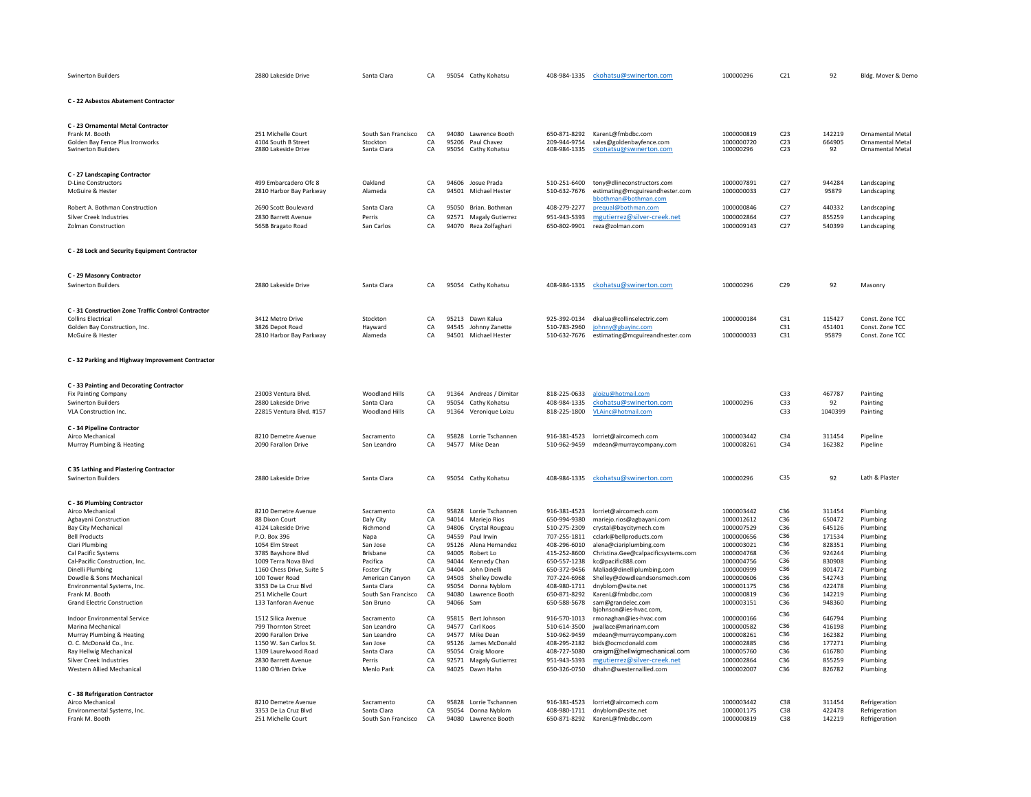| <b>Swinerton Builders</b>                                           | 2880 Lakeside Drive                        | Santa Clara          | CA       |                | 95054 Cathy Kohatsu          | 408-984-1335                 | ckohatsu@swinerton.com                                   | 100000296                | C <sub>21</sub>        | 92               | Bldg. Mover & Demo      |
|---------------------------------------------------------------------|--------------------------------------------|----------------------|----------|----------------|------------------------------|------------------------------|----------------------------------------------------------|--------------------------|------------------------|------------------|-------------------------|
| C - 22 Asbestos Abatement Contractor                                |                                            |                      |          |                |                              |                              |                                                          |                          |                        |                  |                         |
| C - 23 Ornamental Metal Contractor                                  |                                            |                      |          |                |                              |                              |                                                          |                          |                        |                  |                         |
| Frank M. Booth                                                      | 251 Michelle Court                         | South San Francisco  | CA       |                | 94080 Lawrence Booth         | 650-871-8292                 | KarenL@fmbdbc.com                                        | 1000000819               | C <sub>23</sub>        | 142219           | Ornamental Metal        |
| Golden Bay Fence Plus Ironworks                                     | 4104 South B Street                        | Stockton             | CA       |                | 95206 Paul Chavez            | 209-944-9754                 | sales@goldenbayfence.com                                 | 1000000720               | C <sub>23</sub>        | 664905           | <b>Ornamental Metal</b> |
| <b>Swinerton Builders</b>                                           | 2880 Lakeside Drive                        | Santa Clara          | CA       |                | 95054 Cathy Kohatsu          | 408-984-1335                 | ckohatsu@swinerton.com                                   | 100000296                | C <sub>23</sub>        | 92               | <b>Ornamental Metal</b> |
| C - 27 Landscaping Contractor                                       |                                            |                      |          |                |                              |                              |                                                          |                          |                        |                  |                         |
| <b>D-Line Constructors</b>                                          | 499 Embarcadero Ofc 8                      | Oakland              | CA       |                | 94606 Josue Prada            | 510-251-6400                 | tony@dlineconstructors.com                               | 1000007891               | C27                    | 944284           | Landscaping             |
| McGuire & Hester                                                    | 2810 Harbor Bay Parkway                    | Alameda              | CA       | 94501          | Michael Hester               | 510-632-7676                 | estimating@mcguireandhester.com                          | 1000000033               | C27                    | 95879            | Landscaping             |
|                                                                     |                                            |                      |          |                |                              |                              | bbothman@bothman.com                                     |                          |                        |                  |                         |
| Robert A. Bothman Construction                                      | 2690 Scott Boulevard                       | Santa Clara          | CA       | 95050          | Brian. Bothman               | 408-279-2277                 | prequal@bothman.com                                      | 1000000846               | C27                    | 440332           | Landscaping             |
| Silver Creek Industries                                             | 2830 Barrett Avenue                        | Perris               | CA       |                | 92571 Magaly Gutierrez       | 951-943-5393                 | mgutierrez@silver-creek.net                              | 1000002864               | C27                    | 855259           | Landscaping             |
| Zolman Construction                                                 | 565B Bragato Road                          | San Carlos           | CA       |                | 94070 Reza Zolfaghari        | 650-802-9901                 | reza@zolman.com                                          | 1000009143               | C27                    | 540399           | Landscaping             |
| C - 28 Lock and Security Equipment Contractor                       |                                            |                      |          |                |                              |                              |                                                          |                          |                        |                  |                         |
|                                                                     |                                            |                      |          |                |                              |                              |                                                          |                          |                        |                  |                         |
| C - 29 Masonry Contractor                                           |                                            |                      |          |                |                              |                              |                                                          |                          |                        |                  |                         |
| <b>Swinerton Builders</b>                                           | 2880 Lakeside Drive                        | Santa Clara          | CA       |                | 95054 Cathy Kohatsu          | 408-984-1335                 | ckohatsu@swinerton.com                                   | 100000296                | C <sub>29</sub>        | 92               | Masonry                 |
| C - 31 Construction Zone Traffic Control Contractor                 |                                            |                      |          |                |                              |                              |                                                          |                          |                        |                  |                         |
| <b>Collins Electrical</b>                                           | 3412 Metro Drive                           | Stockton             | CA       |                | 95213 Dawn Kalua             | 925-392-0134                 | dkalua@collinselectric.com                               | 1000000184               | C31                    | 115427           | Const. Zone TCC         |
| Golden Bay Construction, Inc.                                       | 3826 Depot Road                            | Hayward              | CA       | 94545          | Johnny Zanette               | 510-783-2960                 | johnny@gbayinc.com                                       |                          | C31                    | 451401           | Const. Zone TCC         |
| McGuire & Hester                                                    | 2810 Harbor Bay Parkway                    | Alameda              | CA       |                | 94501 Michael Hester         | 510-632-7676                 | estimating@mcguireandhester.com                          | 1000000033               | C31                    | 95879            | Const. Zone TCC         |
|                                                                     |                                            |                      |          |                |                              |                              |                                                          |                          |                        |                  |                         |
| C - 32 Parking and Highway Improvement Contractor                   |                                            |                      |          |                |                              |                              |                                                          |                          |                        |                  |                         |
| C - 33 Painting and Decorating Contractor                           |                                            |                      |          |                |                              |                              |                                                          |                          |                        |                  |                         |
| <b>Fix Painting Company</b>                                         | 23003 Ventura Blvd.                        | Woodland Hills       | CA       |                | 91364 Andreas / Dimitar      | 818-225-0633                 | aloizu@hotmail.com                                       |                          | C33                    | 467787           | Painting                |
| <b>Swinerton Builders</b>                                           | 2880 Lakeside Drive                        | Santa Clara          | CA       | 95054          | Cathy Kohatsu                | 408-984-1335                 | ckohatsu@swinerton.com                                   | 100000296                | C33                    | 92               | Painting                |
| VLA Construction Inc.                                               | 22815 Ventura Blvd. #157                   | Woodland Hills       | CA       | 91364          | Veronique Loizu              | 818-225-1800                 | VLAinc@hotmail.com                                       |                          | C33                    | 1040399          | Painting                |
| C - 34 Pipeline Contractor                                          |                                            |                      |          |                |                              |                              |                                                          |                          |                        |                  |                         |
| Airco Mechanical                                                    | 8210 Demetre Avenue                        | Sacramento           | CA       |                | 95828 Lorrie Tschannen       | 916-381-4523                 | lorriet@aircomech.com                                    | 1000003442               | C34                    | 311454           | Pipeline                |
| Murray Plumbing & Heating                                           | 2090 Farallon Drive                        | San Leandro          | CA       |                | 94577 Mike Dean              | 510-962-9459                 | mdean@murraycompany.com                                  | 1000008261               | C34                    | 162382           | Pipeline                |
|                                                                     |                                            |                      |          |                |                              |                              |                                                          |                          |                        |                  |                         |
| C 35 Lathing and Plastering Contractor<br><b>Swinerton Builders</b> | 2880 Lakeside Drive                        | Santa Clara          | CA       |                |                              | 408-984-1335                 |                                                          | 100000296                | C35                    | 92               | Lath & Plaster          |
|                                                                     |                                            |                      |          |                | 95054 Cathy Kohatsu          |                              | ckohatsu@swinerton.com                                   |                          |                        |                  |                         |
| C - 36 Plumbing Contractor                                          |                                            |                      |          |                |                              |                              |                                                          |                          |                        |                  |                         |
| Airco Mechanical                                                    | 8210 Demetre Avenue                        | Sacramento           | CA       |                | 95828 Lorrie Tschannen       | 916-381-4523                 | lorriet@aircomech.com                                    | 1000003442               | C36                    | 311454           | Plumbing                |
| Agbayani Construction                                               | 88 Dixon Court                             | Daly City            | CA       |                | 94014 Mariejo Rios           | 650-994-9380                 | mariejo.rios@agbayani.com                                | 1000012612               | C36                    | 650472           | Plumbing                |
| Bay City Mechanical                                                 | 4124 Lakeside Drive                        | Richmond             | CA       | 94806          | Crystal Rougeau              | 510-275-2309                 | crystal@baycitymech.com                                  | 1000007529               | C <sub>36</sub>        | 645126           | Plumbing                |
| <b>Bell Products</b>                                                | P.O. Box 396                               | Napa                 | CA       | 94559          | Paul Irwin                   | 707-255-1811                 | cclark@bellproducts.com                                  | 1000000656               | C <sub>36</sub>        | 171534           | Plumbing                |
| Ciari Plumbing                                                      | 1054 Elm Street                            | San Jose<br>Brisbane | CA       | 95126          | Alena Hernandez<br>Robert Lo | 408-296-6010                 | alena@ciariplumbing.com                                  | 1000003021               | C36<br>C <sub>36</sub> | 828351           | Plumbing<br>Plumbing    |
| Cal Pacific Systems<br>Cal-Pacific Construction, Inc.               | 3785 Bayshore Blvd<br>1009 Terra Nova Blvd | Pacifica             | CA<br>CA | 94005<br>94044 | Kennedy Chan                 | 415-252-8600<br>650-557-1238 | Christina.Gee@calpacificsystems.com<br>kc@pacific888.com | 1000004768<br>1000004756 | C <sub>36</sub>        | 924244<br>830908 | Plumbing                |
| Dinelli Plumbing                                                    | 1160 Chess Drive, Suite 5                  | Foster City          | CA       | 94404          | <b>John Dinelli</b>          | 650-372-9456                 | Maliad@dinelliplumbing.com                               | 1000000999               | C36                    | 801472           | Plumbing                |
| Dowdle & Sons Mechanical                                            | 100 Tower Road                             | American Canyon      | CA       | 94503          | Shelley Dowdle               | 707-224-6968                 | Shelley@dowdleandsonsmech.com                            | 1000000606               | C <sub>36</sub>        | 542743           | Plumbing                |
| Environmental Systems, Inc.                                         | 3353 De La Cruz Blvd                       | Santa Clara          | CA       | 95054          | Donna Nyblom                 | 408-980-1711                 | dnyblom@esite.net                                        | 1000001175               | C <sub>36</sub>        | 422478           | Plumbing                |
| Frank M. Booth                                                      | 251 Michelle Court                         | South San Francisco  | CA       | 94080          | Lawrence Booth               | 650-871-8292                 | KarenL@fmbdbc.com                                        | 1000000819               | C <sub>36</sub>        | 142219           | Plumbing                |
| <b>Grand Electric Construction</b>                                  | 133 Tanforan Avenue                        | San Bruno            | CA       | 94066 Sam      |                              | 650-588-5678                 | sam@grandelec.com<br>bjohnson@ies-hvac.com               | 1000003151               | C36                    | 948360           | Plumbing                |
| Indoor Environmental Service                                        | 1512 Silica Avenue                         | Sacramento           | CA       |                | 95815 Bert Johnson           | 916-570-1013                 | rmonaghan@ies-hvac.com                                   | 1000000166               | C36                    | 646794           | Plumbing                |
| Marina Mechanical                                                   | 799 Thornton Street                        | San Leandro          | CA       |                | 94577 Carl Koos              | 510-614-3500                 | jwallace@marinam.com                                     | 1000000582               | C36                    | 416198           | Plumbing                |
| Murray Plumbing & Heating                                           | 2090 Farallon Drive                        | San Leandro          | CA       | 94577          | Mike Dean                    | 510-962-9459                 | mdean@murraycompany.com                                  | 1000008261               | C36                    | 162382           | Plumbing                |
| O. C. McDonald Co., Inc.                                            | 1150 W. San Carlos St.                     | San Jose             | CA       | 95126          | James McDonald               | 408-295-2182                 | bids@ocmcdonald.com                                      | 1000002885               | C <sub>36</sub>        | 177271           | Plumbing                |
| Ray Hellwig Mechanical                                              | 1309 Laurelwood Road                       | Santa Clara          | CA       |                | 95054 Craig Moore            | 408-727-5080                 | craigm@hellwigmechanical.com                             | 1000005760               | C36                    | 616780           | Plumbing                |
| <b>Silver Creek Industries</b>                                      | 2830 Barrett Avenue                        | Perris               | CA       |                | 92571 Magaly Gutierrez       | 951-943-5393                 | mgutierrez@silver-creek.net                              | 1000002864               | C <sub>36</sub>        | 855259           | Plumbing                |
| Western Allied Mechanical                                           | 1180 O'Brien Drive                         | Menlo Park           | CA       | 94025          | Dawn Hahn                    | 650-326-0750                 | dhahn@westernallied.com                                  | 1000002007               | C <sub>36</sub>        | 826782           | Plumbing                |
| C - 38 Refrigeration Contractor                                     |                                            |                      |          |                |                              |                              |                                                          |                          |                        |                  |                         |
| Airco Mechanical                                                    | 8210 Demetre Avenue                        | Sacramento           | CA       |                | 95828 Lorrie Tschannen       | 916-381-4523                 | lorriet@aircomech.com                                    | 1000003442               | C38                    | 311454           | Refrigeration           |
| Environmental Systems, Inc.                                         | 3353 De La Cruz Blvd                       | Santa Clara          | CA       |                | 95054 Donna Nyblom           | 408-980-1711                 | dnyblom@esite.net                                        | 1000001175               | C38                    | 422478           | Refrigeration           |
| Frank M. Booth                                                      | 251 Michelle Court                         | South San Francisco  | CA       |                | 94080 Lawrence Booth         | 650-871-8292                 | KarenL@fmbdbc.com                                        | 1000000819               | C38                    | 142219           | Refrigeration           |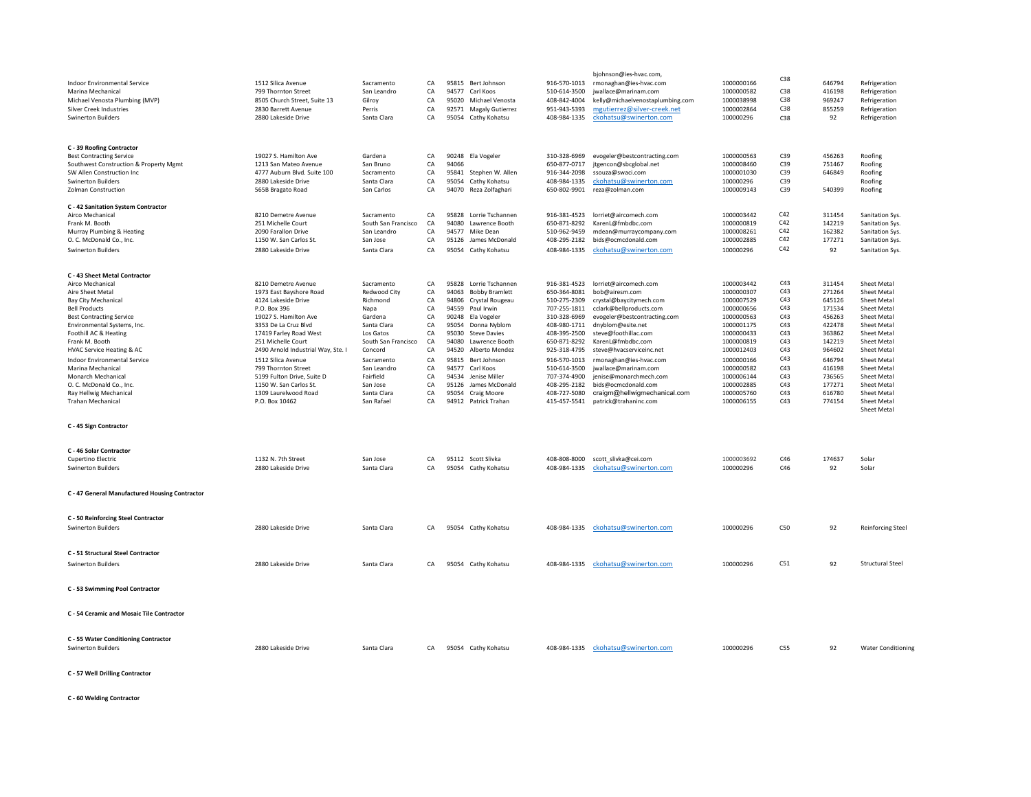|                                                                     |                                    |                      |           |       |                        |                              | bjohnson@ies-hvac.com,                     |            | C38 |        |                           |
|---------------------------------------------------------------------|------------------------------------|----------------------|-----------|-------|------------------------|------------------------------|--------------------------------------------|------------|-----|--------|---------------------------|
| Indoor Environmental Service                                        | 1512 Silica Avenue                 | Sacramento           | CA        |       | 95815 Bert Johnson     | 916-570-1013                 | rmonaghan@ies-hvac.com                     | 1000000166 |     | 646794 | Refrigeration             |
| Marina Mechanical                                                   | 799 Thornton Street                | San Leandro          | CA        |       | 94577 Carl Koos        | 510-614-3500                 | jwallace@marinam.com                       | 1000000582 | C38 | 416198 | Refrigeration             |
| Michael Venosta Plumbing (MVP)                                      | 8505 Church Street, Suite 13       | Gilroy               | CA        |       | 95020 Michael Venosta  | 408-842-4004                 | kelly@michaelvenostaplumbing.com           | 1000038998 | C38 | 969247 | Refrigeration             |
| <b>Silver Creek Industries</b>                                      | 2830 Barrett Avenue                | Perris               | CA        |       | 92571 Magaly Gutierrez | 951-943-5393                 | mgutierrez@silver-creek.net                | 1000002864 | C38 | 855259 | Refrigeration             |
| <b>Swinerton Builders</b>                                           | 2880 Lakeside Drive                | Santa Clara          | CA        |       | 95054 Cathy Kohatsu    | 408-984-1335                 | ckohatsu@swinerton.com                     | 100000296  | C38 | 92     | Refrigeration             |
|                                                                     |                                    |                      |           |       |                        |                              |                                            |            |     |        |                           |
| C - 39 Roofing Contractor<br><b>Best Contracting Service</b>        | 19027 S. Hamilton Ave              |                      | CA        |       | 90248 Ela Vogeler      |                              | evogeler@bestcontracting.com               | 1000000563 | C39 | 456263 | Roofing                   |
|                                                                     | 1213 San Mateo Avenue              | Gardena<br>San Bruno | CA        | 94066 |                        | 310-328-6969<br>650-877-0717 |                                            | 1000008460 | C39 | 751467 | Roofing                   |
| Southwest Construction & Property Mgmt<br>SW Allen Construction Inc | 4777 Auburn Blvd. Suite 100        | Sacramento           | CA        |       | 95841 Stephen W. Allen | 916-344-2098                 | jtgencon@sbcglobal.net<br>ssouza@swaci.com | 1000001030 | C39 | 646849 | Roofing                   |
|                                                                     |                                    |                      |           |       |                        |                              |                                            |            | C39 |        |                           |
| <b>Swinerton Builders</b>                                           | 2880 Lakeside Drive                | Santa Clara          | CA        | 95054 | Cathy Kohatsu          | 408-984-1335                 | ckohatsu@swinerton.com                     | 100000296  |     |        | Roofing                   |
| <b>Zolman Construction</b>                                          | 565B Bragato Road                  | San Carlos           | CA        | 94070 | Reza Zolfaghari        | 650-802-9901                 | reza@zolman.com                            | 1000009143 | C39 | 540399 | Roofing                   |
| C - 42 Sanitation System Contractor                                 |                                    |                      |           |       |                        |                              |                                            |            |     |        |                           |
| Airco Mechanical                                                    | 8210 Demetre Avenue                | Sacramento           | CA        |       | 95828 Lorrie Tschannen | 916-381-4523                 | lorriet@aircomech.com                      | 1000003442 | C42 | 311454 | Sanitation Sys.           |
| Frank M. Booth                                                      | 251 Michelle Court                 | South San Francisco  | CA        | 94080 | Lawrence Booth         | 650-871-8292                 | KarenL@fmbdbc.com                          | 1000000819 | C42 | 142219 | Sanitation Sys.           |
| Murray Plumbing & Heating                                           | 2090 Farallon Drive                | San Leandro          | CA        | 94577 | Mike Dean              | 510-962-9459                 | mdean@murraycompany.com                    | 1000008261 | C42 | 162382 | Sanitation Sys.           |
| O. C. McDonald Co., Inc.                                            | 1150 W. San Carlos St.             | San Jose             | CA        |       | 95126 James McDonald   | 408-295-2182                 | bids@ocmcdonald.com                        | 1000002885 | C42 | 177271 | Sanitation Sys.           |
| <b>Swinerton Builders</b>                                           | 2880 Lakeside Drive                | Santa Clara          | CA        |       | 95054 Cathy Kohatsu    | 408-984-1335                 | ckohatsu@swinerton.com                     | 100000296  | C42 | 92     | Sanitation Sys.           |
|                                                                     |                                    |                      |           |       |                        |                              |                                            |            |     |        |                           |
| C - 43 Sheet Metal Contractor                                       |                                    |                      |           |       |                        |                              |                                            |            |     |        |                           |
| Airco Mechanical                                                    | 8210 Demetre Avenue                | Sacramento           | CA        |       | 95828 Lorrie Tschannen | 916-381-4523                 | lorriet@aircomech.com                      | 1000003442 | C43 | 311454 | Sheet Metal               |
| Aire Sheet Metal                                                    | 1973 East Bayshore Road            | Redwood City         | CA        |       | 94063 Bobby Bramlett   | 650-364-8081                 | bob@airesm.com                             | 1000000307 | C43 | 271264 | Sheet Metal               |
| Bay City Mechanical                                                 | 4124 Lakeside Drive                | Richmond             | CA        | 94806 | Crystal Rougeau        | 510-275-2309                 | crystal@baycitymech.com                    | 1000007529 | C43 | 645126 | Sheet Metal               |
| <b>Bell Products</b>                                                | P.O. Box 396                       | Napa                 | CA        | 94559 | Paul Irwin             | 707-255-1811                 | cclark@bellproducts.com                    | 1000000656 | C43 | 171534 | Sheet Metal               |
|                                                                     |                                    |                      |           |       |                        |                              |                                            |            |     |        |                           |
| <b>Best Contracting Service</b>                                     | 19027 S. Hamilton Ave              | Gardena              | CA        | 90248 | Ela Vogeler            | 310-328-6969                 | evogeler@bestcontracting.com               | 1000000563 | C43 | 456263 | Sheet Metal               |
| Environmental Systems, Inc.                                         | 3353 De La Cruz Blvd               | Santa Clara          | CA        | 95054 | Donna Nyblom           | 408-980-1711                 | dnyblom@esite.net                          | 1000001175 | C43 | 422478 | Sheet Metal               |
| Foothill AC & Heating                                               | 17419 Farley Road West             | Los Gatos            | CA        | 95030 | <b>Steve Davies</b>    | 408-395-2500                 | steve@foothillac.com                       | 1000000433 | C43 | 363862 | Sheet Metal               |
| Frank M. Booth                                                      | 251 Michelle Court                 | South San Francisco  | CA        | 94080 | Lawrence Booth         | 650-871-8292                 | KarenL@fmbdbc.com                          | 1000000819 | C43 | 142219 | Sheet Meta                |
| HVAC Service Heating & AC                                           | 2490 Arnold Industrial Way, Ste. I | Concord              | CA        | 94520 | Alberto Mendez         | 925-318-4795                 | steve@hvacserviceinc.net                   | 1000012403 | C43 | 964602 | Sheet Meta                |
| <b>Indoor Environmental Service</b>                                 | 1512 Silica Avenue                 | Sacramento           | CA        | 95815 | Bert Johnson           | 916-570-1013                 | rmonaghan@ies-hvac.com                     | 1000000166 | C43 | 646794 | Sheet Metal               |
| Marina Mechanical                                                   | 799 Thornton Street                | San Leandro          | CA        | 94577 | Carl Koos              | 510-614-3500                 | jwallace@marinam.com                       | 1000000582 | C43 | 416198 | Sheet Metal               |
| Monarch Mechanical                                                  | 5199 Fulton Drive, Suite D         | Fairfield            | CA        | 94534 | Jenise Miller          | 707-374-4900                 | jenise@monarchmech.com                     | 1000006144 | C43 | 736565 | Sheet Metal               |
| O. C. McDonald Co., Inc.                                            | 1150 W. San Carlos St.             | San Jose             | CA        |       | 95126 James McDonald   | 408-295-2182                 | bids@ocmcdonald.com                        | 1000002885 | C43 | 177271 | Sheet Metal               |
| Ray Hellwig Mechanical                                              | 1309 Laurelwood Road               | Santa Clara          | <b>CA</b> |       | 95054 Craig Moore      | 408-727-5080                 | craigm@hellwigmechanical.com               | 1000005760 | C43 | 616780 | Sheet Metal               |
| Trahan Mechanical                                                   | P.O. Box 10462                     | San Rafael           | CA        |       | 94912 Patrick Trahan   | 415-457-5541                 | patrick@trahaninc.com                      | 1000006155 | C43 | 774154 | Sheet Metal               |
|                                                                     |                                    |                      |           |       |                        |                              |                                            |            |     |        | Sheet Metal               |
| C - 45 Sign Contractor                                              |                                    |                      |           |       |                        |                              |                                            |            |     |        |                           |
|                                                                     |                                    |                      |           |       |                        |                              |                                            |            |     |        |                           |
| C - 46 Solar Contractor                                             |                                    |                      |           |       |                        |                              |                                            |            |     |        |                           |
| Cupertino Electric                                                  | 1132 N. 7th Street                 | San Jose             | CA        |       | 95112 Scott Slivka     | 408-808-8000                 | scott_slivka@cei.com                       | 1000003692 | C46 | 174637 | Solar                     |
| <b>Swinerton Builders</b>                                           | 2880 Lakeside Drive                | Santa Clara          | CA        |       | 95054 Cathy Kohatsu    | 408-984-1335                 | ckohatsu@swinerton.com                     | 100000296  | C46 | 92     | Solar                     |
| C - 47 General Manufactured Housing Contractor                      |                                    |                      |           |       |                        |                              |                                            |            |     |        |                           |
|                                                                     |                                    |                      |           |       |                        |                              |                                            |            |     |        |                           |
| C - 50 Reinforcing Steel Contractor                                 |                                    |                      |           |       |                        |                              |                                            |            |     |        |                           |
| <b>Swinerton Builders</b>                                           | 2880 Lakeside Drive                | Santa Clara          | CA        |       | 95054 Cathy Kohatsu    | 408-984-1335                 | ckohatsu@swinerton.com                     | 100000296  | C50 | 92     | <b>Reinforcing Steel</b>  |
|                                                                     |                                    |                      |           |       |                        |                              |                                            |            |     |        |                           |
| C - 51 Structural Steel Contractor                                  |                                    |                      |           |       |                        |                              |                                            |            |     |        |                           |
|                                                                     |                                    |                      |           |       |                        |                              |                                            |            |     |        |                           |
| Swinerton Builders                                                  | 2880 Lakeside Drive                | Santa Clara          | CA        | 95054 | Cathy Kohatsu          | 408-984-1335                 | ckohatsu@swinerton.com                     | 100000296  | C51 | 92     | <b>Structural Steel</b>   |
| C - 53 Swimming Pool Contractor                                     |                                    |                      |           |       |                        |                              |                                            |            |     |        |                           |
|                                                                     |                                    |                      |           |       |                        |                              |                                            |            |     |        |                           |
| C - 54 Ceramic and Mosaic Tile Contractor                           |                                    |                      |           |       |                        |                              |                                            |            |     |        |                           |
|                                                                     |                                    |                      |           |       |                        |                              |                                            |            |     |        |                           |
| C - 55 Water Conditioning Contractor                                |                                    |                      |           |       |                        |                              |                                            |            |     |        |                           |
| <b>Swinerton Builders</b>                                           | 2880 Lakeside Drive                | Santa Clara          | CA        |       | 95054 Cathy Kohatsu    | 408-984-1335                 | ckohatsu@swinerton.com                     | 100000296  | C55 | 92     | <b>Water Conditioning</b> |
|                                                                     |                                    |                      |           |       |                        |                              |                                            |            |     |        |                           |

**C - 57 Well Drilling Contractor**

**C - 60 Welding Contractor**